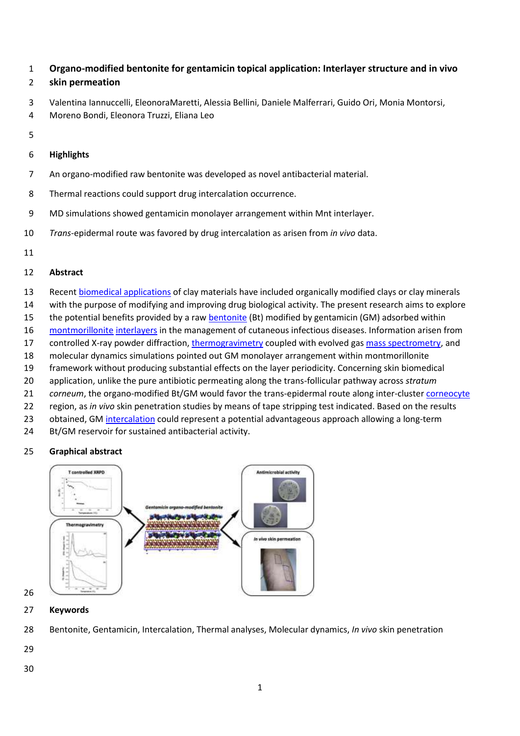# **Organo-modified bentonite for gentamicin topical application: Interlayer structure and in vivo**

# **skin permeation**

- Valentina Iannuccelli, EleonoraMaretti, Alessia Bellini, Daniele Malferrari, Guido Ori, Monia Montorsi,
- Moreno Bondi, Eleonora Truzzi, Eliana Leo
- 

# **Highlights**

- An organo-modified raw bentonite was developed as novel antibacterial material.
- Thermal reactions could support drug intercalation occurrence.
- MD simulations showed gentamicin monolayer arrangement within Mnt interlayer.
- *Trans*-epidermal route was favored by drug intercalation as arisen from *in vivo* data.
- 

# **Abstract**

- Recent [biomedical applications](https://www.sciencedirect.com/topics/engineering/biomedical-application) of clay materials have included organically modified clays or clay minerals
- with the purpose of modifying and improving drug biological activity. The present research aims to explore
- 15 the potential benefits provided by a raw [bentonite](https://www.sciencedirect.com/topics/earth-and-planetary-sciences/bentonite) (Bt) modified by gentamicin (GM) adsorbed within
- [montmorillonite](https://www.sciencedirect.com/topics/earth-and-planetary-sciences/montmorillonite) [interlayers](https://www.sciencedirect.com/topics/engineering/interlayer) in the management of cutaneous infectious diseases. Information arisen from
- 17 controlled X-ray powder diffraction[, thermogravimetry](https://www.sciencedirect.com/topics/earth-and-planetary-sciences/thermogravimetric-analysis) coupled with evolved gas [mass spectrometry,](https://www.sciencedirect.com/topics/engineering/mass-spectrometry) and
- molecular dynamics simulations pointed out GM monolayer arrangement within montmorillonite
- framework without producing substantial effects on the layer periodicity. Concerning skin biomedical
- application, unlike the pure antibiotic permeating along the trans-follicular pathway across *stratum*
- *corneum*, the organo-modified Bt/GM would favor the trans-epidermal route along inter-cluster [corneocyte](https://www.sciencedirect.com/topics/engineering/corneocytes)
- region, as *in vivo* skin penetration studies by means of tape stripping test indicated. Based on the results
- 23 obtained, GM [intercalation](https://www.sciencedirect.com/topics/earth-and-planetary-sciences/intercalation) could represent a potential advantageous approach allowing a long-term
- Bt/GM reservoir for sustained antibacterial activity.

# **Graphical abstract**



## **Keywords**

- Bentonite, Gentamicin, Intercalation, Thermal analyses, Molecular dynamics, *In vivo* skin penetration
-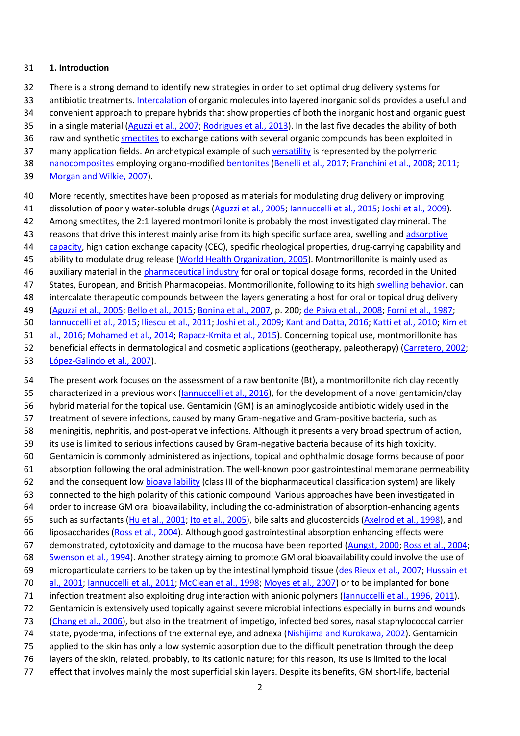#### **1. Introduction**

There is a strong demand to identify new strategies in order to set optimal drug delivery systems for

antibiotic treatments[. Intercalation](https://www.sciencedirect.com/topics/earth-and-planetary-sciences/intercalation) of organic molecules into layered inorganic solids provides a useful and

convenient approach to prepare hybrids that show properties of both the inorganic host and organic guest

- 35 in a single material [\(Aguzzi et al., 2007;](https://www.sciencedirect.com/science/article/pii/S0169131718301340?via%3Dihub#bb0010) [Rodrigues et al., 2013\)](https://www.sciencedirect.com/science/article/pii/S0169131718301340?via%3Dihub#bb0370). In the last five decades the ability of both
- 36 raw and synthetic **smectites** to exchange cations with several organic compounds has been exploited in
- 37 many application fields. An archetypical example of such [versatility](https://www.sciencedirect.com/topics/earth-and-planetary-sciences/versatility) is represented by the polymeric
- [nanocomposites](https://www.sciencedirect.com/topics/earth-and-planetary-sciences/nanocomposites) employing organo-modified [bentonites](https://www.sciencedirect.com/topics/earth-and-planetary-sciences/bentonite) [\(Benelli et al., 2017;](https://www.sciencedirect.com/science/article/pii/S0169131718301340?via%3Dihub#bb0060) [Franchini et al., 2008;](https://www.sciencedirect.com/science/article/pii/S0169131718301340?via%3Dihub#bb0145) [2011;](https://www.sciencedirect.com/science/article/pii/S0169131718301340?via%3Dihub#bb0150)
- [Morgan and Wilkie, 2007\)](https://www.sciencedirect.com/science/article/pii/S0169131718301340?via%3Dihub#bb0305).
- More recently, smectites have been proposed as materials for modulating drug delivery or improving
- dissolution of poorly water-soluble drugs [\(Aguzzi et al., 2005;](https://www.sciencedirect.com/science/article/pii/S0169131718301340?via%3Dihub#bb0005) [Iannuccelli et al., 2015;](https://www.sciencedirect.com/science/article/pii/S0169131718301340?via%3Dihub#bb0195) [Joshi et al., 2009\)](https://www.sciencedirect.com/science/article/pii/S0169131718301340?via%3Dihub#bb0225).
- Among smectites, the 2:1 layered montmorillonite is probably the most investigated clay mineral. The
- 43 reasons that drive this interest mainly arise from its high specific surface area, swelling and adsorptive
- [capacity,](https://www.sciencedirect.com/topics/engineering/adsorptive-capacity) high cation exchange capacity (CEC), specific rheological properties, drug-carrying capability and
- ability to modulate drug release [\(World Health Organization, 2005\)](https://www.sciencedirect.com/science/article/pii/S0169131718301340?via%3Dihub#bb0430). Montmorillonite is mainly used as
- auxiliary material in th[e pharmaceutical industry](https://www.sciencedirect.com/topics/earth-and-planetary-sciences/pharmaceutical-industry) for oral or topical dosage forms, recorded in the United
- States, European, and British Pharmacopeias. Montmorillonite, following to its hig[h swelling behavior,](https://www.sciencedirect.com/topics/engineering/swelling-behaviour) can
- intercalate therapeutic compounds between the layers generating a host for oral or topical drug delivery
- [\(Aguzzi et al., 2005;](https://www.sciencedirect.com/science/article/pii/S0169131718301340?via%3Dihub#bb0005) [Bello et al., 2015;](https://www.sciencedirect.com/science/article/pii/S0169131718301340?via%3Dihub#bb0055) [Bonina et al., 2007,](https://www.sciencedirect.com/science/article/pii/S0169131718301340?via%3Dihub#bb0065) p. 200; [de Paiva et al., 2008;](https://www.sciencedirect.com/science/article/pii/S0169131718301340?via%3Dihub#bb0335) [Forni et al., 1987;](https://www.sciencedirect.com/science/article/pii/S0169131718301340?via%3Dihub#bb0140)
- [Iannuccelli et al., 2015;](https://www.sciencedirect.com/science/article/pii/S0169131718301340?via%3Dihub#bb0195) [Iliescu et al., 2011;](https://www.sciencedirect.com/science/article/pii/S0169131718301340?via%3Dihub#bb0205) [Joshi et al., 2009;](https://www.sciencedirect.com/science/article/pii/S0169131718301340?via%3Dihub#bb0225) [Kant and Datta, 2016;](https://www.sciencedirect.com/science/article/pii/S0169131718301340?via%3Dihub#bb0230) [Katti et al., 2010;](https://www.sciencedirect.com/science/article/pii/S0169131718301340?via%3Dihub#bb0235) [Kim et](https://www.sciencedirect.com/science/article/pii/S0169131718301340?via%3Dihub#bb0240)
- [al., 2016;](https://www.sciencedirect.com/science/article/pii/S0169131718301340?via%3Dihub#bb0240) [Mohamed et al., 2014;](https://www.sciencedirect.com/science/article/pii/S0169131718301340?via%3Dihub#bb0295) [Rapacz-Kmita et al., 2015\)](https://www.sciencedirect.com/science/article/pii/S0169131718301340?via%3Dihub#bb0350). Concerning topical use, montmorillonite has
- beneficial effects in dermatological and cosmetic applications (geotherapy, paleotherapy) [\(Carretero, 2002;](https://www.sciencedirect.com/science/article/pii/S0169131718301340?via%3Dihub#bb0080)
- [López-Galindo et al., 2007\)](https://www.sciencedirect.com/science/article/pii/S0169131718301340?via%3Dihub#bb0270).

 The present work focuses on the assessment of a raw bentonite (Bt), a montmorillonite rich clay recently 55 characterized in a previous work (*Iannuccelli et al., 2016*), for the development of a novel gentamicin/clay hybrid material for the topical use. Gentamicin (GM) is an aminoglycoside antibiotic widely used in the treatment of severe infections, caused by many Gram-negative and Gram-positive bacteria, such as meningitis, nephritis, and post-operative infections. Although it presents a very broad spectrum of action, its use is limited to serious infections caused by Gram-negative bacteria because of its high toxicity. Gentamicin is commonly administered as injections, topical and ophthalmic dosage forms because of poor absorption following the oral administration. The well-known poor gastrointestinal membrane permeability 62 and the consequent low [bioavailability](https://www.sciencedirect.com/topics/earth-and-planetary-sciences/bio-availability) (class III of the biopharmaceutical classification system) are likely connected to the high polarity of this cationic compound. Various approaches have been investigated in order to increase GM oral bioavailability, including the co-administration of absorption-enhancing agents such as surfactants [\(Hu et al., 2001;](https://www.sciencedirect.com/science/article/pii/S0169131718301340?via%3Dihub#bb0170) [Ito et al., 2005\)](https://www.sciencedirect.com/science/article/pii/S0169131718301340?via%3Dihub#bb0210), bile salts and glucosteroids [\(Axelrod et al., 1998\)](https://www.sciencedirect.com/science/article/pii/S0169131718301340?via%3Dihub#bb0040), and liposaccharides [\(Ross et al., 2004\)](https://www.sciencedirect.com/science/article/pii/S0169131718301340?via%3Dihub#bb0380). Although good gastrointestinal absorption enhancing effects were demonstrated, cytotoxicity and damage to the mucosa have been reported [\(Aungst, 2000;](https://www.sciencedirect.com/science/article/pii/S0169131718301340?via%3Dihub#bb0030) [Ross et al., 2004;](https://www.sciencedirect.com/science/article/pii/S0169131718301340?via%3Dihub#bb0380) [Swenson et al., 1994\)](https://www.sciencedirect.com/science/article/pii/S0169131718301340?via%3Dihub#bb0410). Another strategy aiming to promote GM oral bioavailability could involve the use of microparticulate carriers to be taken up by the intestinal lymphoid tissue [\(des Rieux et al., 2007;](https://www.sciencedirect.com/science/article/pii/S0169131718301340?via%3Dihub#bb0360) [Hussain et](https://www.sciencedirect.com/science/article/pii/S0169131718301340?via%3Dihub#bb0175)  [al., 2001;](https://www.sciencedirect.com/science/article/pii/S0169131718301340?via%3Dihub#bb0175) [Iannuccelli et al., 2011;](https://www.sciencedirect.com/science/article/pii/S0169131718301340?via%3Dihub#bb0185) [McClean et al., 1998;](https://www.sciencedirect.com/science/article/pii/S0169131718301340?via%3Dihub#bb0290) [Moyes et al., 2007\)](https://www.sciencedirect.com/science/article/pii/S0169131718301340?via%3Dihub#bb0310) or to be implanted for bone 71 infection treatment also exploiting drug interaction with anionic polymers [\(Iannuccelli et al., 1996,](https://www.sciencedirect.com/science/article/pii/S0169131718301340?via%3Dihub#bb0180) [2011\)](https://www.sciencedirect.com/science/article/pii/S0169131718301340?via%3Dihub#bb0185). Gentamicin is extensively used topically against severe microbial infections especially in burns and wounds [\(Chang et al., 2006\)](https://www.sciencedirect.com/science/article/pii/S0169131718301340?via%3Dihub#bb0090), but also in the treatment of impetigo, infected bed sores, nasal staphylococcal carrier state, pyoderma, infections of the external eye, and adnexa [\(Nishijima and Kurokawa, 2002\)](https://www.sciencedirect.com/science/article/pii/S0169131718301340?via%3Dihub#bb0315). Gentamicin applied to the skin has only a low systemic absorption due to the difficult penetration through the deep layers of the skin, related, probably, to its cationic nature; for this reason, its use is limited to the local effect that involves mainly the most superficial skin layers. Despite its benefits, GM short-life, bacterial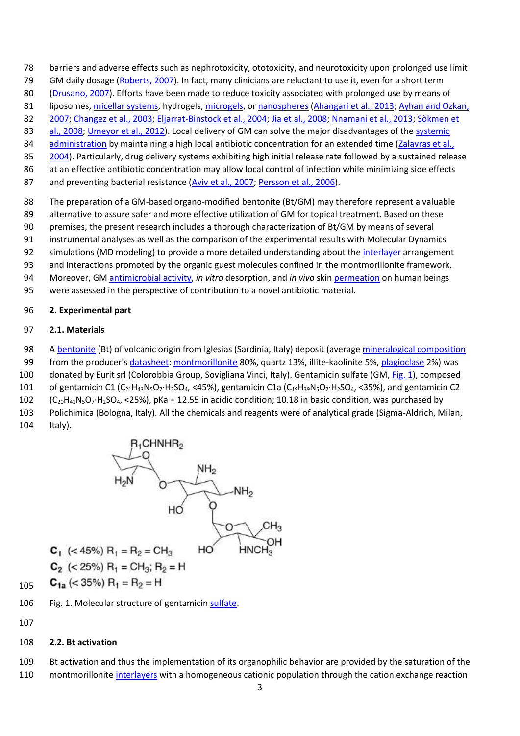- barriers and adverse effects such as nephrotoxicity, ototoxicity, and neurotoxicity upon prolonged use limit
- 79 GM daily dosage [\(Roberts, 2007\)](https://www.sciencedirect.com/science/article/pii/S0169131718301340?via%3Dihub#bb0365). In fact, many clinicians are reluctant to use it, even for a short term
- [\(Drusano, 2007\)](https://www.sciencedirect.com/science/article/pii/S0169131718301340?via%3Dihub#bb0115). Efforts have been made to reduce toxicity associated with prolonged use by means of
- 81 liposomes, [micellar systems,](https://www.sciencedirect.com/topics/engineering/micellar-system) hydrogels, [microgels,](https://www.sciencedirect.com/topics/engineering/microgels) o[r nanospheres](https://www.sciencedirect.com/topics/engineering/nanospheres) [\(Ahangari et al., 2013;](https://www.sciencedirect.com/science/article/pii/S0169131718301340?via%3Dihub#bb0015) Ayhan and Ozkan,
- [2007;](https://www.sciencedirect.com/science/article/pii/S0169131718301340?via%3Dihub#bb0045) [Changez et al., 2003;](https://www.sciencedirect.com/science/article/pii/S0169131718301340?via%3Dihub#bb0095) [Eljarrat-Binstock et al., 2004;](https://www.sciencedirect.com/science/article/pii/S0169131718301340?via%3Dihub#bb0120) [Jia et al., 2008;](https://www.sciencedirect.com/science/article/pii/S0169131718301340?via%3Dihub#bb0220) [Nnamani et al., 2013;](https://www.sciencedirect.com/science/article/pii/S0169131718301340?via%3Dihub#bb0320) [Sòkmen et](https://www.sciencedirect.com/science/article/pii/S0169131718301340?via%3Dihub#bb0405)
- [al., 2008;](https://www.sciencedirect.com/science/article/pii/S0169131718301340?via%3Dihub#bb0405) [Umeyor et al., 2012\)](https://www.sciencedirect.com/science/article/pii/S0169131718301340?via%3Dihub#bb0415). Local delivery of GM can solve the major disadvantages of the systemic
- [administration](https://www.sciencedirect.com/topics/engineering/systemic-administration) by maintaining a high local antibiotic concentration for an extended time (Zalavras et al.,
- [2004\)](https://www.sciencedirect.com/science/article/pii/S0169131718301340?via%3Dihub#bb0440). Particularly, drug delivery systems exhibiting high initial release rate followed by a sustained release at an effective antibiotic concentration may allow local control of infection while minimizing side effects
- 
- 87 and preventing bacterial resistance [\(Aviv et al., 2007;](https://www.sciencedirect.com/science/article/pii/S0169131718301340?via%3Dihub#bb0035) [Persson et al., 2006\)](https://www.sciencedirect.com/science/article/pii/S0169131718301340?via%3Dihub#bb0345).
- The preparation of a GM-based organo-modified bentonite (Bt/GM) may therefore represent a valuable
- 89 alternative to assure safer and more effective utilization of GM for topical treatment. Based on these
- premises, the present research includes a thorough characterization of Bt/GM by means of several
- instrumental analyses as well as the comparison of the experimental results with Molecular Dynamics
- 92 simulations (MD modeling) to provide a more detailed understanding about the *interlayer* arrangement
- and interactions promoted by the organic guest molecules confined in the montmorillonite framework.
- Moreover, GM [antimicrobial activity,](https://www.sciencedirect.com/topics/engineering/antimicrobial-activity) *in vitro* desorption, and *in vivo* ski[n permeation](https://www.sciencedirect.com/topics/engineering/permeation) on human beings
- were assessed in the perspective of contribution to a novel antibiotic material.

## **2. Experimental part**

# **2.1. Materials**

- [A bentonite](https://www.sciencedirect.com/topics/earth-and-planetary-sciences/bentonite) (Bt) of volcanic origin from Iglesias (Sardinia, Italy) deposit (average [mineralogical composition](https://www.sciencedirect.com/topics/engineering/mineralogical-composition)
- from the producer'[s datasheet:](https://www.sciencedirect.com/topics/engineering/datasheet) [montmorillonite](https://www.sciencedirect.com/topics/earth-and-planetary-sciences/montmorillonite) 80%, quartz 13%, illite-kaolinite 5%[, plagioclase](https://www.sciencedirect.com/topics/earth-and-planetary-sciences/plagioclase) 2%) was
- donated by Eurit srl (Colorobbia Group, Sovigliana Vinci, Italy). Gentamicin sulfate (GM, [Fig. 1\)](https://www.sciencedirect.com/science/article/pii/S0169131718301340?via%3Dihub#f0005), composed
- 101 of gentamicin C1 (C<sub>21</sub>H<sub>43</sub>N<sub>5</sub>O<sub>7</sub>·H<sub>2</sub>SO<sub>4</sub>, <45%), gentamicin C1a (C<sub>19</sub>H<sub>39</sub>N<sub>5</sub>O<sub>7</sub>·H<sub>2</sub>SO<sub>4</sub>, <35%), and gentamicin C2
- 102  $(C_{20}H_{41}N_5O_7·H_2SO_4, <25%)$ , pKa = 12.55 in acidic condition; 10.18 in basic condition, was purchased by
- Polichimica (Bologna, Italy). All the chemicals and reagents were of analytical grade (Sigma-Aldrich, Milan, Italy).



- 106 Fig. 1. Molecular structure of gentamici[n sulfate.](https://www.sciencedirect.com/topics/earth-and-planetary-sciences/sulphate)
- 

# **2.2. Bt activation**

- Bt activation and thus the implementation of its organophilic behavior are provided by the saturation of the
- 110 montmorillonit[e interlayers](https://www.sciencedirect.com/topics/engineering/interlayer) with a homogeneous cationic population through the cation exchange reaction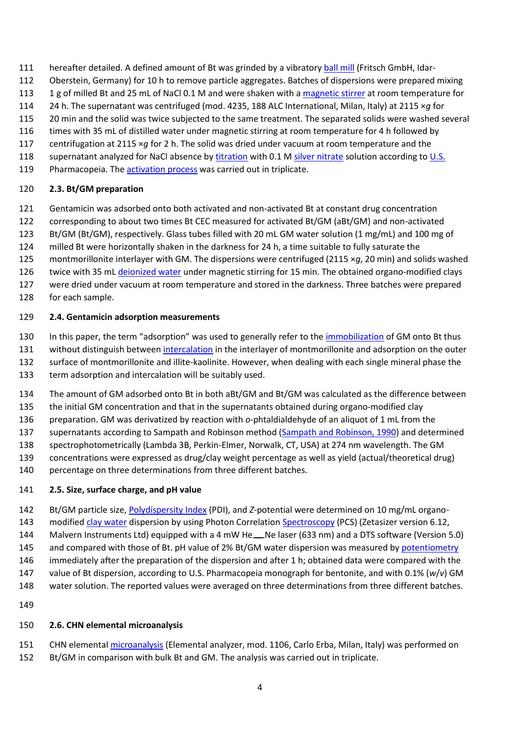- hereafter detailed. A defined amount of Bt was grinded by a vibratory [ball mill](https://www.sciencedirect.com/topics/engineering/ball-mills) (Fritsch GmbH, Idar-
- Oberstein, Germany) for 10 h to remove particle aggregates. Batches of dispersions were prepared mixing
- 113 1 g of milled Bt and 25 mL of NaCl 0.1 M and were shaken with a [magnetic stirrer](https://www.sciencedirect.com/topics/engineering/magnetic-stirrer) at room temperature for
- 24 h. The supernatant was centrifuged (mod. 4235, 188 ALC International, Milan, Italy) at 2115 ×*g* for
- 20 min and the solid was twice subjected to the same treatment. The separated solids were washed several
- times with 35 mL of distilled water under magnetic stirring at room temperature for 4 h followed by
- centrifugation at 2115 ×*g* for 2 h. The solid was dried under vacuum at room temperature and the
- 118 supernatant analyzed for NaCl absence by [titration](https://www.sciencedirect.com/topics/earth-and-planetary-sciences/titration) with 0.1 M [silver nitrate](https://www.sciencedirect.com/topics/earth-and-planetary-sciences/silver-nitrate) solution according to [U.S.](https://www.sciencedirect.com/topics/earth-and-planetary-sciences/united-states-of-america)
- 119 Pharmacopeia. The [activation process](https://www.sciencedirect.com/topics/engineering/activation-process) was carried out in triplicate.

# **2.3. Bt/GM preparation**

- Gentamicin was adsorbed onto both activated and non-activated Bt at constant drug concentration
- corresponding to about two times Bt CEC measured for activated Bt/GM (aBt/GM) and non-activated
- Bt/GM (Bt/GM), respectively. Glass tubes filled with 20 mL GM water solution (1 mg/mL) and 100 mg of
- milled Bt were horizontally shaken in the darkness for 24 h, a time suitable to fully saturate the
- montmorillonite interlayer with GM. The dispersions were centrifuged (2115 ×*g*, 20 min) and solids washed
- 126 twice with 35 mL [deionized water](https://www.sciencedirect.com/topics/engineering/deionized-water) under magnetic stirring for 15 min. The obtained organo-modified clays
- were dried under vacuum at room temperature and stored in the darkness. Three batches were prepared
- for each sample.

# **2.4. Gentamicin adsorption measurements**

- In this paper, the term "adsorption" was used to generally refer to the [immobilization](https://www.sciencedirect.com/topics/engineering/immobilisation) of GM onto Bt thus
- without distinguish between [intercalation](https://www.sciencedirect.com/topics/earth-and-planetary-sciences/intercalation) in the interlayer of montmorillonite and adsorption on the outer surface of montmorillonite and illite-kaolinite. However, when dealing with each single mineral phase the term adsorption and intercalation will be suitably used.
- The amount of GM adsorbed onto Bt in both aBt/GM and Bt/GM was calculated as the difference between
- the initial GM concentration and that in the supernatants obtained during organo-modified clay
- preparation. GM was derivatized by reaction with *o*-phtaldialdehyde of an aliquot of 1 mL from the
- 137 supernatants according to Sampath and Robinson method [\(Sampath and Robinson, 1990\)](https://www.sciencedirect.com/science/article/pii/S0169131718301340?via%3Dihub#bb0385) and determined
- spectrophotometrically (Lambda 3B, Perkin-Elmer, Norwalk, CT, USA) at 274 nm wavelength. The GM
- concentrations were expressed as drug/clay weight percentage as well as yield (actual/theoretical drug) 140 percentage on three determinations from three different batches.
- 

# **2.5. Size, surface charge, and pH value**

- Bt/GM particle size[, Polydispersity Index](https://www.sciencedirect.com/topics/engineering/polydispersity-index) (PDI), and *Z*-potential were determined on 10 mg/mL organo-modified [clay water](https://www.sciencedirect.com/topics/earth-and-planetary-sciences/clay-water) dispersion by using Photon Correlation [Spectroscopy](https://www.sciencedirect.com/topics/earth-and-planetary-sciences/spectroscopy) (PCS) (Zetasizer version 6.12,
- 144 Malvern Instruments Ltd) equipped with a 4 mW He Revellaser (633 nm) and a DTS software (Version 5.0)
- 145 and compared with those of Bt. pH value of 2% Bt/GM water dispersion was measured by [potentiometry](https://www.sciencedirect.com/topics/earth-and-planetary-sciences/potentiometric-analysis)
- immediately after the preparation of the dispersion and after 1 h; obtained data were compared with the
- value of Bt dispersion, according to U.S. Pharmacopeia monograph for bentonite, and with 0.1% (*w*/*v*) GM
- water solution. The reported values were averaged on three determinations from three different batches.
- 

## **2.6. CHN elemental microanalysis**

 CHN elementa[l microanalysis](https://www.sciencedirect.com/topics/earth-and-planetary-sciences/microanalysis) (Elemental analyzer, mod. 1106, Carlo Erba, Milan, Italy) was performed on Bt/GM in comparison with bulk Bt and GM. The analysis was carried out in triplicate.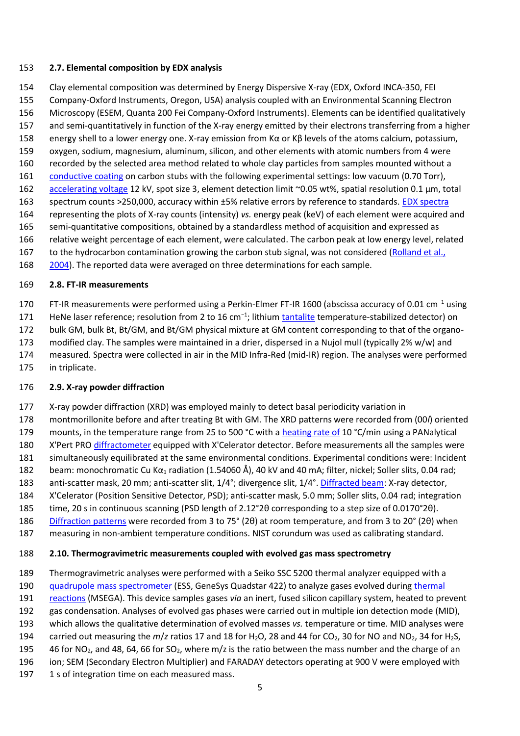#### **2.7. Elemental composition by EDX analysis**

Clay elemental composition was determined by Energy Dispersive X-ray (EDX, Oxford INCA-350, FEI

- Company-Oxford Instruments, Oregon, USA) analysis coupled with an Environmental Scanning Electron
- Microscopy (ESEM, Quanta 200 Fei Company-Oxford Instruments). Elements can be identified qualitatively
- and semi-quantitatively in function of the X-ray energy emitted by their electrons transferring from a higher
- energy shell to a lower energy one. X-ray emission from Kα or Kβ levels of the atoms calcium, potassium, oxygen, sodium, magnesium, aluminum, silicon, and other elements with atomic numbers from 4 were
- recorded by the selected area method related to whole clay particles from samples mounted without a
- [conductive coating](https://www.sciencedirect.com/topics/engineering/conductive-coating) on carbon stubs with the following experimental settings: low vacuum (0.70 Torr),
- [accelerating voltage](https://www.sciencedirect.com/topics/engineering/accelerating-voltage) 12 kV, spot size 3, element detection limit ~0.05 wt%, spatial resolution 0.1 μm, total
- spectrum counts >250,000, accuracy within ±5% relative errors by reference to standards. [EDX spectra](https://www.sciencedirect.com/topics/earth-and-planetary-sciences/x-ray-spectra)
- representing the plots of X-ray counts (intensity) *vs.* energy peak (keV) of each element were acquired and
- semi-quantitative compositions, obtained by a standardless method of acquisition and expressed as
- relative weight percentage of each element, were calculated. The carbon peak at low energy level, related
- 167 to the hydrocarbon contamination growing the carbon stub signal, was not considered (Rolland et al.,
- [2004\)](https://www.sciencedirect.com/science/article/pii/S0169131718301340?via%3Dihub#bb0375). The reported data were averaged on three determinations for each sample.

## **2.8. FT-IR measurements**

FT-IR measurements were performed using a Perkin-Elmer FT-IR 1600 (abscissa accuracy of 0.01 cm<sup>−</sup><sup>1</sup> using

171 HeNe laser reference; resolution from 2 to 16 cm<sup>-1</sup>; lithiu[m tantalite](https://www.sciencedirect.com/topics/earth-and-planetary-sciences/tantalite) temperature-stabilized detector) on

- bulk GM, bulk Bt, Bt/GM, and Bt/GM physical mixture at GM content corresponding to that of the organo-
- modified clay. The samples were maintained in a drier, dispersed in a Nujol mull (typically 2% w/w) and
- measured. Spectra were collected in air in the MID Infra-Red (mid-IR) region. The analyses were performed
- in triplicate.

## **2.9. X-ray powder diffraction**

- X-ray powder diffraction (XRD) was employed mainly to detect basal periodicity variation in
- montmorillonite before and after treating Bt with GM. The XRD patterns were recorded from (00*l*) oriented
- 179 mounts, in the temperature range from 25 to 500 °C with a [heating rate of](https://www.sciencedirect.com/topics/engineering/rate-of-heating) 10 °C/min using a PANalytical
- X'Pert PRO [diffractometer](https://www.sciencedirect.com/topics/earth-and-planetary-sciences/diffractometers) equipped with X'Celerator detector. Before measurements all the samples were
- simultaneously equilibrated at the same environmental conditions. Experimental conditions were: Incident
- 182 beam: monochromatic Cu K $\alpha_1$  radiation (1.54060 Å), 40 kV and 40 mA; filter, nickel; Soller slits, 0.04 rad;
- anti-scatter mask, 20 mm; anti-scatter slit, 1/4°; divergence slit, 1/4°. [Diffracted beam:](https://www.sciencedirect.com/topics/engineering/diffracted-beam) X-ray detector,
- X'Celerator (Position Sensitive Detector, PSD); anti-scatter mask, 5.0 mm; Soller slits, 0.04 rad; integration
- time, 20 s in continuous scanning (PSD length of 2.12°2θ corresponding to a step size of 0.0170°2θ).
- [Diffraction patterns](https://www.sciencedirect.com/topics/earth-and-planetary-sciences/diffraction-pattern) were recorded from 3 to 75° (2θ) at room temperature, and from 3 to 20° (2θ) when
- measuring in non-ambient temperature conditions. NIST corundum was used as calibrating standard.

# **2.10. Thermogravimetric measurements coupled with evolved gas mass spectrometry**

- Thermogravimetric analyses were performed with a Seiko SSC 5200 thermal analyzer equipped with a
- [quadrupole](https://www.sciencedirect.com/topics/earth-and-planetary-sciences/quadrupoles) [mass spectrometer](https://www.sciencedirect.com/topics/earth-and-planetary-sciences/mass-spectrometer) (ESS, GeneSys Quadstar 422) to analyze gases evolved during [thermal](https://www.sciencedirect.com/topics/earth-and-planetary-sciences/thermal-reaction)
- [reactions](https://www.sciencedirect.com/topics/earth-and-planetary-sciences/thermal-reaction) (MSEGA). This device samples gases *via* an inert, fused silicon capillary system, heated to prevent
- gas condensation. Analyses of evolved gas phases were carried out in multiple ion detection mode (MID),
- which allows the qualitative determination of evolved masses *vs.* temperature or time. MID analyses were
- 194 carried out measuring the  $m/z$  ratios 17 and 18 for H<sub>2</sub>O, 28 and 44 for CO<sub>2</sub>, 30 for NO and NO<sub>2</sub>, 34 for H<sub>2</sub>S,
- 195 46 for NO<sub>2</sub>, and 48, 64, 66 for SO<sub>2</sub>, where m/z is the ratio between the mass number and the charge of an ion; SEM (Secondary Electron Multiplier) and FARADAY detectors operating at 900 V were employed with
- 1 s of integration time on each measured mass.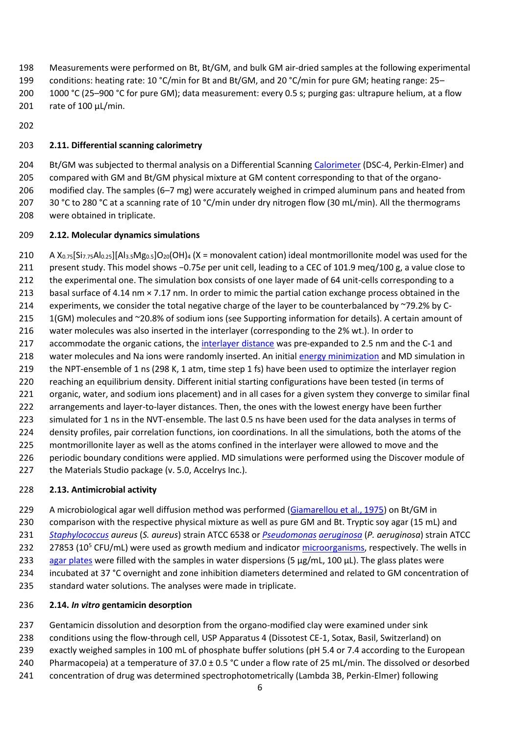Measurements were performed on Bt, Bt/GM, and bulk GM air-dried samples at the following experimental conditions: heating rate: 10 °C/min for Bt and Bt/GM, and 20 °C/min for pure GM; heating range: 25– 1000 °C (25–900 °C for pure GM); data measurement: every 0.5 s; purging gas: ultrapure helium, at a flow

- rate of 100 μL/min.
- 

## **2.11. Differential scanning calorimetry**

204 Bt/GM was subjected to thermal analysis on a Differential Scanning [Calorimeter](https://www.sciencedirect.com/topics/earth-and-planetary-sciences/calorimeter) (DSC-4, Perkin-Elmer) and compared with GM and Bt/GM physical mixture at GM content corresponding to that of the organo- modified clay. The samples (6–7 mg) were accurately weighed in crimped aluminum pans and heated from 30 °C to 280 °C at a scanning rate of 10 °C/min under dry nitrogen flow (30 mL/min). All the thermograms were obtained in triplicate.

#### **2.12. Molecular dynamics simulations**

210 A  $X_{0.75}[Si_{7.75}Al_{0.25}][Al_{3.5}Mg_{0.5}]O_{20}(OH)$ <sub>4</sub> (X = monovalent cation) ideal montmorillonite model was used for the present study. This model shows −0.75*e* per unit cell, leading to a CEC of 101.9 meq/100 g, a value close to 212 the experimental one. The simulation box consists of one layer made of 64 unit-cells corresponding to a basal surface of 4.14 nm × 7.17 nm. In order to mimic the partial cation exchange process obtained in the 214 experiments, we consider the total negative charge of the layer to be counterbalanced by  $\approx$ 79.2% by C- 1(GM) molecules and ~20.8% of sodium ions (see Supporting information for details). A certain amount of water molecules was also inserted in the interlayer (corresponding to the 2% wt.). In order to accommodate the organic cations, the [interlayer distance](https://www.sciencedirect.com/topics/engineering/interlayer-distance) was pre-expanded to 2.5 nm and the C-1 and 218 water molecules and Na ions were randomly inserted. An initia[l energy minimization](https://www.sciencedirect.com/topics/engineering/energy-minimisation) and MD simulation in the NPT-ensemble of 1 ns (298 K, 1 atm, time step 1 fs) have been used to optimize the interlayer region reaching an equilibrium density. Different initial starting configurations have been tested (in terms of 221 organic, water, and sodium ions placement) and in all cases for a given system they converge to similar final arrangements and layer-to-layer distances. Then, the ones with the lowest energy have been further simulated for 1 ns in the NVT-ensemble. The last 0.5 ns have been used for the data analyses in terms of density profiles, pair correlation functions, ion coordinations. In all the simulations, both the atoms of the montmorillonite layer as well as the atoms confined in the interlayer were allowed to move and the periodic boundary conditions were applied. MD simulations were performed using the Discover module of 227 the Materials Studio package (v. 5.0, Accelrys Inc.).

## **2.13. Antimicrobial activity**

229 A microbiological agar well diffusion method was performed [\(Giamarellou et al., 1975\)](https://www.sciencedirect.com/science/article/pii/S0169131718301340?via%3Dihub#bb0160) on Bt/GM in comparison with the respective physical mixture as well as pure GM and Bt. Tryptic soy agar (15 mL) and *[Staphylococcus](https://www.sciencedirect.com/topics/earth-and-planetary-sciences/staphylococcus) aureus* (*S. aureus*) strain ATCC 6538 or *[Pseudomonas](https://www.sciencedirect.com/topics/earth-and-planetary-sciences/pseudomonas) [aeruginosa](https://www.sciencedirect.com/topics/engineering/aeruginosa)* (*P. aeruginosa*) strain ATCC 232 27853 (10<sup>5</sup> CFU/mL) were used as growth medium and indicator [microorganisms,](https://www.sciencedirect.com/topics/earth-and-planetary-sciences/micro-organism) respectively. The wells in [agar plates](https://www.sciencedirect.com/topics/engineering/agar-plate) were filled with the samples in water dispersions (5  $\mu$ g/mL, 100 $\mu$ L). The glass plates were incubated at 37 °C overnight and zone inhibition diameters determined and related to GM concentration of standard water solutions. The analyses were made in triplicate.

## **2.14.** *In vitro* **gentamicin desorption**

Gentamicin dissolution and desorption from the organo-modified clay were examined under sink

conditions using the flow-through cell, USP Apparatus 4 (Dissotest CE-1, Sotax, Basil, Switzerland) on

- exactly weighed samples in 100 mL of phosphate buffer solutions (pH 5.4 or 7.4 according to the European
- Pharmacopeia) at a temperature of 37.0 ± 0.5 °C under a flow rate of 25 mL/min. The dissolved or desorbed
- concentration of drug was determined spectrophotometrically (Lambda 3B, Perkin-Elmer) following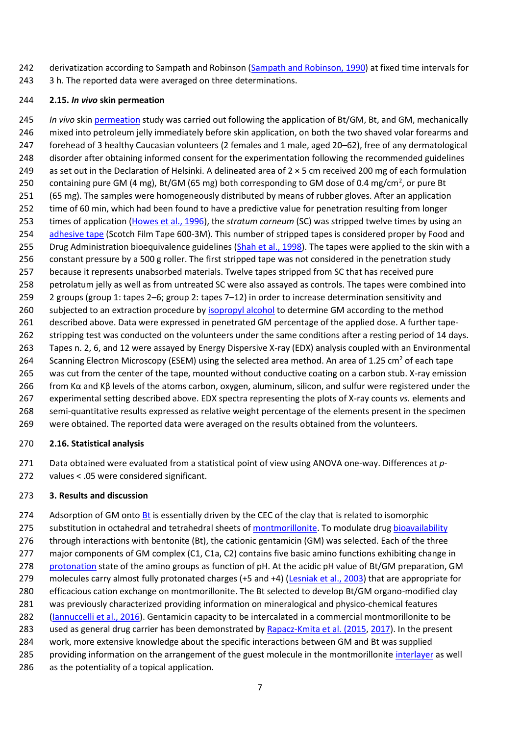- 242 derivatization according to Sampath and Robinson [\(Sampath and Robinson, 1990\)](https://www.sciencedirect.com/science/article/pii/S0169131718301340?via%3Dihub#bb0385) at fixed time intervals for
- 243 3 h. The reported data were averaged on three determinations.

## **2.15.** *In vivo* **skin permeation**

 *In vivo* skin [permeation](https://www.sciencedirect.com/topics/engineering/permeation) study was carried out following the application of Bt/GM, Bt, and GM, mechanically mixed into petroleum jelly immediately before skin application, on both the two shaved volar forearms and forehead of 3 healthy Caucasian volunteers (2 females and 1 male, aged 20–62), free of any dermatological 248 disorder after obtaining informed consent for the experimentation following the recommended guidelines as set out in the Declaration of Helsinki. A delineated area of 2 × 5 cm received 200 mg of each formulation 250 containing pure GM (4 mg), Bt/GM (65 mg) both corresponding to GM dose of 0.4 mg/cm<sup>2</sup>, or pure Bt (65 mg). The samples were homogeneously distributed by means of rubber gloves. After an application time of 60 min, which had been found to have a predictive value for penetration resulting from longer times of application [\(Howes et al., 1996\)](https://www.sciencedirect.com/science/article/pii/S0169131718301340?via%3Dihub#bb0165), the *stratum corneum* (SC) was stripped twelve times by using an [adhesive tape](https://www.sciencedirect.com/topics/engineering/tape-adhesive) (Scotch Film Tape 600-3M). This number of stripped tapes is considered proper by Food and 255 Drug Administration bioequivalence guidelines [\(Shah et al., 1998\)](https://www.sciencedirect.com/science/article/pii/S0169131718301340?via%3Dihub#bb0400). The tapes were applied to the skin with a constant pressure by a 500 g roller. The first stripped tape was not considered in the penetration study because it represents unabsorbed materials. Twelve tapes stripped from SC that has received pure petrolatum jelly as well as from untreated SC were also assayed as controls. The tapes were combined into 2 groups (group 1: tapes 2–6; group 2: tapes 7–12) in order to increase determination sensitivity and 260 subjected to an extraction procedure by [isopropyl alcohol](https://www.sciencedirect.com/topics/earth-and-planetary-sciences/isopropyl-alcohol) to determine GM according to the method described above. Data were expressed in penetrated GM percentage of the applied dose. A further tape- stripping test was conducted on the volunteers under the same conditions after a resting period of 14 days. Tapes n. 2, 6, and 12 were assayed by Energy Dispersive X-ray (EDX) analysis coupled with an Environmental 264 Scanning Electron Microscopy (ESEM) using the selected area method. An area of 1.25 cm<sup>2</sup> of each tape was cut from the center of the tape, mounted without conductive coating on a carbon stub. X-ray emission from Kα and Kβ levels of the atoms carbon, oxygen, aluminum, silicon, and sulfur were registered under the experimental setting described above. EDX spectra representing the plots of X-ray counts *vs.* elements and semi-quantitative results expressed as relative weight percentage of the elements present in the specimen were obtained. The reported data were averaged on the results obtained from the volunteers.

## **2.16. Statistical analysis**

 Data obtained were evaluated from a statistical point of view using ANOVA one-way. Differences at *p*-values < .05 were considered significant.

## **3. Results and discussion**

274 Adsorption of GM onto [Bt](https://www.sciencedirect.com/topics/earth-and-planetary-sciences/bentonite) is essentially driven by the CEC of the clay that is related to isomorphic 275 substitution in octahedral and tetrahedral sheets o[f montmorillonite.](https://www.sciencedirect.com/topics/earth-and-planetary-sciences/montmorillonite) To modulate dru[g bioavailability](https://www.sciencedirect.com/topics/earth-and-planetary-sciences/bio-availability) 276 through interactions with bentonite (Bt), the cationic gentamicin (GM) was selected. Each of the three 277 major components of GM complex (C1, C1a, C2) contains five basic amino functions exhibiting change in [protonation](https://www.sciencedirect.com/topics/engineering/protonation) state of the amino groups as function of pH. At the acidic pH value of Bt/GM preparation, GM molecules carry almost fully protonated charges (+5 and +4) [\(Lesniak et al., 2003\)](https://www.sciencedirect.com/science/article/pii/S0169131718301340?via%3Dihub#bb0260) that are appropriate for efficacious cation exchange on montmorillonite. The Bt selected to develop Bt/GM organo-modified clay was previously characterized providing information on mineralogical and physico-chemical features [\(Iannuccelli et al., 2016\)](https://www.sciencedirect.com/science/article/pii/S0169131718301340?via%3Dihub#bb0200). Gentamicin capacity to be intercalated in a commercial montmorillonite to be 283 used as general drug carrier has been demonstrated by [Rapacz-Kmita et al. \(2015,](https://www.sciencedirect.com/science/article/pii/S0169131718301340?via%3Dihub#bb0350) [2017\)](https://www.sciencedirect.com/science/article/pii/S0169131718301340?via%3Dihub#bb0355). In the present work, more extensive knowledge about the specific interactions between GM and Bt was supplied 285 providing information on the arrangement of the guest molecule in the montmorillonite [interlayer](https://www.sciencedirect.com/topics/engineering/interlayer) as well as the potentiality of a topical application.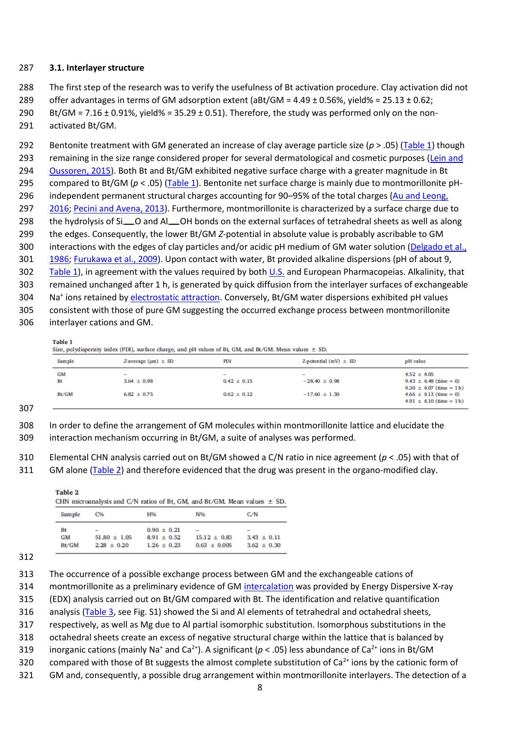#### **3.1. Interlayer structure**

The first step of the research was to verify the usefulness of Bt activation procedure. Clay activation did not

offer advantages in terms of GM adsorption extent (aBt/GM = 4.49 ± 0.56%, yield% = 25.13 ± 0.62;

290 Bt/GM =  $7.16 \pm 0.91$ %, yield% =  $35.29 \pm 0.51$ ). Therefore, the study was performed only on the non-activated Bt/GM.

 Bentonite treatment with GM generated an increase of clay average particle size (*p* > .05) ([Table 1\)](https://www.sciencedirect.com/science/article/pii/S0169131718301340?via%3Dihub#t0005) though remaining in the size range considered proper for several dermatological and cosmetic purposes [\(Lein and](https://www.sciencedirect.com/science/article/pii/S0169131718301340?via%3Dihub#bb0255)  [Oussoren, 2015\)](https://www.sciencedirect.com/science/article/pii/S0169131718301340?via%3Dihub#bb0255). Both Bt and Bt/GM exhibited negative surface charge with a greater magnitude in Bt 295 compared to Bt/GM ( $p < .05$ ) ([Table 1\)](https://www.sciencedirect.com/science/article/pii/S0169131718301340?via%3Dihub#t0005). Bentonite net surface charge is mainly due to montmorillonite pH- independent permanent structural charges accounting for 90–95% of the total charges [\(Au and Leong,](https://www.sciencedirect.com/science/article/pii/S0169131718301340?via%3Dihub#bb0025)  [2016;](https://www.sciencedirect.com/science/article/pii/S0169131718301340?via%3Dihub#bb0025) [Pecini and Avena, 2013\)](https://www.sciencedirect.com/science/article/pii/S0169131718301340?via%3Dihub#bb0340). Furthermore, montmorillonite is characterized by a surface charge due to 298 the hydrolysis of Si ... O and Al ... OH bonds on the external surfaces of tetrahedral sheets as well as along the edges. Consequently, the lower Bt/GM *Z*-potential in absolute value is probably ascribable to GM interactions with the edges of clay particles and/or acidic pH medium of GM water solution [\(Delgado et al.,](https://www.sciencedirect.com/science/article/pii/S0169131718301340?via%3Dihub#bb0110)  [1986;](https://www.sciencedirect.com/science/article/pii/S0169131718301340?via%3Dihub#bb0110) [Furukawa et al., 2009\)](https://www.sciencedirect.com/science/article/pii/S0169131718301340?via%3Dihub#bb0155). Upon contact with water, Bt provided alkaline dispersions (pH of about 9, [Table 1\)](https://www.sciencedirect.com/science/article/pii/S0169131718301340?via%3Dihub#t0005), in agreement with the values required by both [U.S.](https://www.sciencedirect.com/topics/earth-and-planetary-sciences/united-states-of-america) and European Pharmacopeias. Alkalinity, that remained unchanged after 1 h, is generated by quick diffusion from the interlayer surfaces of exchangeable 304 Na<sup>+</sup> ions retained b[y electrostatic attraction.](https://www.sciencedirect.com/topics/engineering/electrostatic-attraction) Conversely, Bt/GM water dispersions exhibited pH values consistent with those of pure GM suggesting the occurred exchange process between montmorillonite interlayer cations and GM.

Table 1

Size, polydispersity index (PDI), surface charge, and pH values of Bt. GM, and Bt/GM. Mean values  $\pm$  SD.

| Sample            | Z-average $(\mu m) \pm SD$                                     | PDI                                                            | Z-potential $(mV) \pm SD$              | pH value                                                                                                                                    |
|-------------------|----------------------------------------------------------------|----------------------------------------------------------------|----------------------------------------|---------------------------------------------------------------------------------------------------------------------------------------------|
| GM<br>Bt<br>Bt/GM | $\overline{\phantom{0}}$<br>$3.64 \pm 0.98$<br>$6.82 \pm 0.75$ | $\overline{\phantom{0}}$<br>$0.42 \pm 0.15$<br>$0.62 \pm 0.12$ | $-28.40 \pm 0.98$<br>$-17.60 \pm 1.30$ | $4.52 \pm 0.05$<br>$9.43 \pm 0.48$ (time = 0)<br>$9.30 \pm 0.07$ (time = 1 h)<br>$4.66 \pm 0.13$ (time = 0)<br>$4.91 \pm 0.10$ (time = 1 h) |

 In order to define the arrangement of GM molecules within montmorillonite lattice and elucidate the interaction mechanism occurring in Bt/GM, a suite of analyses was performed.

 Elemental CHN analysis carried out on Bt/GM showed a C/N ratio in nice agreement (*p* < .05) with that of GM alone [\(Table 2\)](https://www.sciencedirect.com/science/article/pii/S0169131718301340?via%3Dihub#t0010) and therefore evidenced that the drug was present in the organo-modified clay.

Table 2 CHN microanalysis and C/N ratios of Bt, GM, and Bt/GM. Mean values  $\pm$  SD.  $Comula = CO<sub>4</sub>$ **ETOX** KIDZ.  $C$   $\Delta T$ 

| запи рге | <b>C</b> <sub>20</sub> | <b>FI'YO</b>    | <b>IN 70</b>     | <b>U/IV</b>              |
|----------|------------------------|-----------------|------------------|--------------------------|
| Bt       | -                      | $0.90 \pm 0.21$ | -                | $\overline{\phantom{a}}$ |
| GM       | $51.80 \pm 1.05$       | $8.91 \pm 0.52$ | $15.12 \pm 0.83$ | $3.43 \pm 0.11$          |
| Bt/GM    | $2.28 \pm 0.20$        | $1.26 \pm 0.23$ | $0.63 \pm 0.005$ | $3.62 \pm 0.30$          |

montmorillonite as a preliminary evidence of GM [intercalation](https://www.sciencedirect.com/topics/earth-and-planetary-sciences/intercalation) was provided by Energy Dispersive X-ray

(EDX) analysis carried out on Bt/GM compared with Bt. The identification and relative quantification

analysis [\(Table 3,](https://www.sciencedirect.com/science/article/pii/S0169131718301340?via%3Dihub#t0015) see Fig. S1) showed the Si and Al elements of tetrahedral and octahedral sheets,

respectively, as well as Mg due to Al partial isomorphic substitution. Isomorphous substitutions in the

octahedral sheets create an excess of negative structural charge within the lattice that is balanced by

inorganic cations (mainly Na<sup>+</sup> and Ca<sup>2+</sup>). A significant ( $p < .05$ ) less abundance of Ca<sup>2+</sup> ions in Bt/GM

320 compared with those of Bt suggests the almost complete substitution of Ca $^{2+}$  ions by the cationic form of

GM and, consequently, a possible drug arrangement within montmorillonite interlayers. The detection of a

The occurrence of a possible exchange process between GM and the exchangeable cations of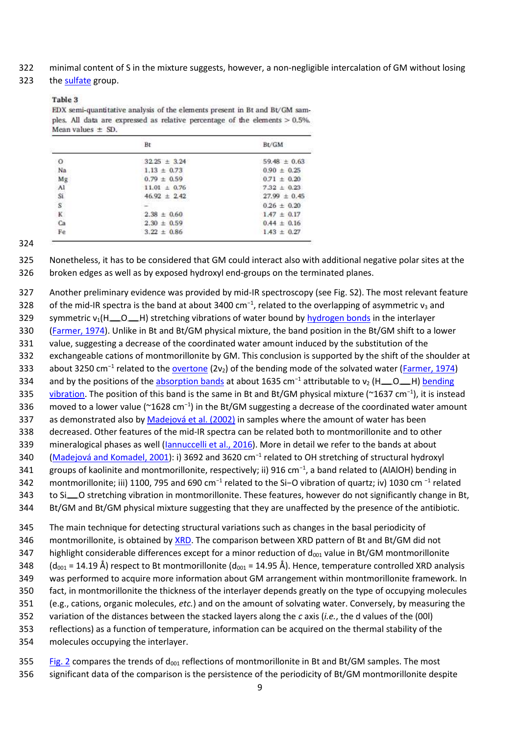322 minimal content of S in the mixture suggests, however, a non-negligible intercalation of GM without losing

#### 323 the [sulfate](https://www.sciencedirect.com/topics/earth-and-planetary-sciences/sulphate) group.

#### Table 3

EDX semi-quantitative analysis of the elements present in Bt and Bt/GM samples. All data are expressed as relative percentage of the elements  $> 0.5\%$ . Mean values  $\pm$  SD.

|             | Bt               | Bt/GM            |
|-------------|------------------|------------------|
| о           | $32.25 \pm 3.24$ | $59.48 \pm 0.63$ |
| Na          | $1.13 \pm 0.73$  | $0.90 \pm 0.25$  |
| Mg          | $0.79 \pm 0.59$  | $0.71 \pm 0.20$  |
| A1          | $11.01 \pm 0.76$ | $7.32 \pm 0.23$  |
| Si          | $46.92 \pm 2.42$ | $27.99 \pm 0.45$ |
| $\mathbf S$ |                  | $0.26 \pm 0.20$  |
| K           | $2.38 \pm 0.60$  | $1.47 \pm 0.17$  |
| Ca          | $2.30 \pm 0.59$  | $0.44 \pm 0.16$  |
| Fe          | $3.22 \pm 0.86$  | $1.43 \pm 0.27$  |

#### 324

325 Nonetheless, it has to be considered that GM could interact also with additional negative polar sites at the 326 broken edges as well as by exposed hydroxyl end-groups on the terminated planes.

327 Another preliminary evidence was provided by mid-IR spectroscopy (see Fig. S2). The most relevant feature 328 of the mid-IR spectra is the band at about 3400 cm<sup>-1</sup>, related to the overlapping of asymmetric  $v_3$  and 329 symmetric  $v_1(H_0, H)$  stretching vibrations of water bound b[y hydrogen bonds](https://www.sciencedirect.com/topics/earth-and-planetary-sciences/hydrogen-bonds) in the interlayer 330 [\(Farmer, 1974\)](https://www.sciencedirect.com/science/article/pii/S0169131718301340?via%3Dihub#bb0130). Unlike in Bt and Bt/GM physical mixture, the band position in the Bt/GM shift to a lower 331 value, suggesting a decrease of the coordinated water amount induced by the substitution of the 332 exchangeable cations of montmorillonite by GM. This conclusion is supported by the shift of the shoulder at 333 about 3250 cm<sup>-1</sup> related to the [overtone](https://www.sciencedirect.com/topics/engineering/overtone) (2 $v_2$ ) of the bending mode of the solvated water [\(Farmer, 1974\)](https://www.sciencedirect.com/science/article/pii/S0169131718301340?via%3Dihub#bb0130) and by the positions of th[e absorption bands](https://www.sciencedirect.com/topics/earth-and-planetary-sciences/absorption-spectra) at about 1635 cm<sup>-1</sup> attributable to v<sub>2</sub> (H<sub>nd</sub>o H) bending 335 [vibration.](https://www.sciencedirect.com/topics/earth-and-planetary-sciences/bending-vibration) The position of this band is the same in Bt and Bt/GM physical mixture (~1637 cm<sup>-1</sup>), it is instead 336 moved to a lower value (~1628 cm<sup>-1</sup>) in the Bt/GM suggesting a decrease of the coordinated water amount 337 as demonstrated also b[y Madejová et al. \(2002\)](https://www.sciencedirect.com/science/article/pii/S0169131718301340?via%3Dihub#bb0285) in samples where the amount of water has been 338 decreased. Other features of the mid-IR spectra can be related both to montmorillonite and to other 339 mineralogical phases as well [\(Iannuccelli et al., 2016\)](https://www.sciencedirect.com/science/article/pii/S0169131718301340?via%3Dihub#bb0200). More in detail we refer to the bands at about 340 [\(Madejová and Komadel, 2001](https://www.sciencedirect.com/science/article/pii/S0169131718301340?via%3Dihub#bb0280)): i) 3692 and 3620 cm<sup>-1</sup> related to OH stretching of structural hydroxyl 341 groups of kaolinite and montmorillonite, respectively; ii) 916 cm<sup>-1</sup>, a band related to (AlAlOH) bending in 342 montmorillonite; iii) 1100, 795 and 690 cm<sup>-1</sup> related to the Si-O vibration of quartz; iv) 1030 cm<sup>-1</sup> related 343 to Si O stretching vibration in montmorillonite. These features, however do not significantly change in Bt, 344 Bt/GM and Bt/GM physical mixture suggesting that they are unaffected by the presence of the antibiotic.

 The main technique for detecting structural variations such as changes in the basal periodicity of 346 montmorillonite, is obtained by [XRD.](https://www.sciencedirect.com/topics/engineering/x-ray-powder-diffraction) The comparison between XRD pattern of Bt and Bt/GM did not 347 highlight considerable differences except for a minor reduction of  $d_{001}$  value in Bt/GM montmorillonite 348 (d<sub>001</sub> = 14.19 Å) respect to Bt montmorillonite (d<sub>001</sub> = 14.95 Å). Hence, temperature controlled XRD analysis was performed to acquire more information about GM arrangement within montmorillonite framework. In fact, in montmorillonite the thickness of the interlayer depends greatly on the type of occupying molecules (e.g., cations, organic molecules, *etc.*) and on the amount of solvating water. Conversely, by measuring the variation of the distances between the stacked layers along the *c* axis (*i.e.*, the d values of the (00l) reflections) as a function of temperature, information can be acquired on the thermal stability of the molecules occupying the interlayer.

355 [Fig. 2](https://www.sciencedirect.com/science/article/pii/S0169131718301340?via%3Dihub#f0010) compares the trends of  $d_{001}$  reflections of montmorillonite in Bt and Bt/GM samples. The most 356 significant data of the comparison is the persistence of the periodicity of Bt/GM montmorillonite despite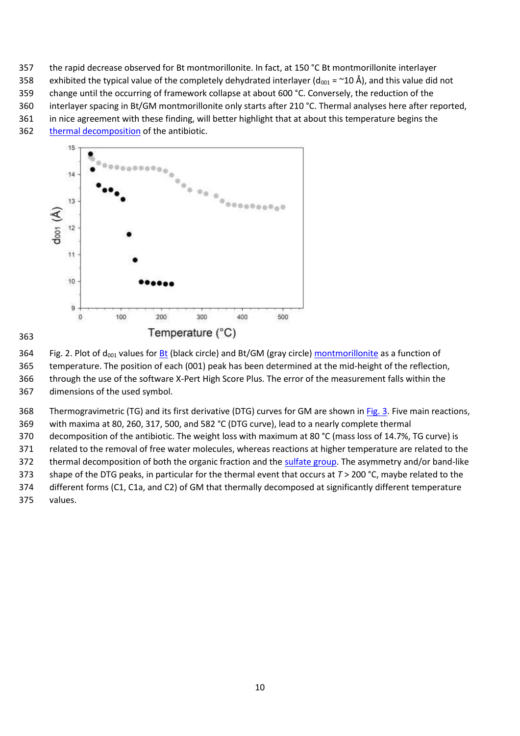the rapid decrease observed for Bt montmorillonite. In fact, at 150 °C Bt montmorillonite interlayer

358 exhibited the typical value of the completely dehydrated interlayer ( $d_{001}$  = ~10 Å), and this value did not

change until the occurring of framework collapse at about 600 °C. Conversely, the reduction of the

interlayer spacing in Bt/GM montmorillonite only starts after 210 °C. Thermal analyses here after reported,

in nice agreement with these finding, will better highlight that at about this temperature begins the

[thermal decomposition](https://www.sciencedirect.com/topics/earth-and-planetary-sciences/thermal-decomposition) of the antibiotic.



364 Fig. 2. Plot of d<sub>001</sub> values for **Bt** (black circle) and Bt/GM (gray circle) [montmorillonite](https://www.sciencedirect.com/topics/earth-and-planetary-sciences/montmorillonite) as a function of

temperature. The position of each (001) peak has been determined at the mid-height of the reflection,

 through the use of the software X-Pert High Score Plus. The error of the measurement falls within the dimensions of the used symbol.

368 Thermogravimetric (TG) and its first derivative (DTG) curves for GM are shown in [Fig. 3.](https://www.sciencedirect.com/science/article/pii/S0169131718301340?via%3Dihub#f0015) Five main reactions,

with maxima at 80, 260, 317, 500, and 582 °C (DTG curve), lead to a nearly complete thermal

decomposition of the antibiotic. The weight loss with maximum at 80 °C (mass loss of 14.7%, TG curve) is

related to the removal of free water molecules, whereas reactions at higher temperature are related to the

372 thermal decomposition of both the organic fraction and the [sulfate group.](https://www.sciencedirect.com/topics/earth-and-planetary-sciences/sulfate-group) The asymmetry and/or band-like

shape of the DTG peaks, in particular for the thermal event that occurs at *T* > 200 °C, maybe related to the

 different forms (C1, C1a, and C2) of GM that thermally decomposed at significantly different temperature values.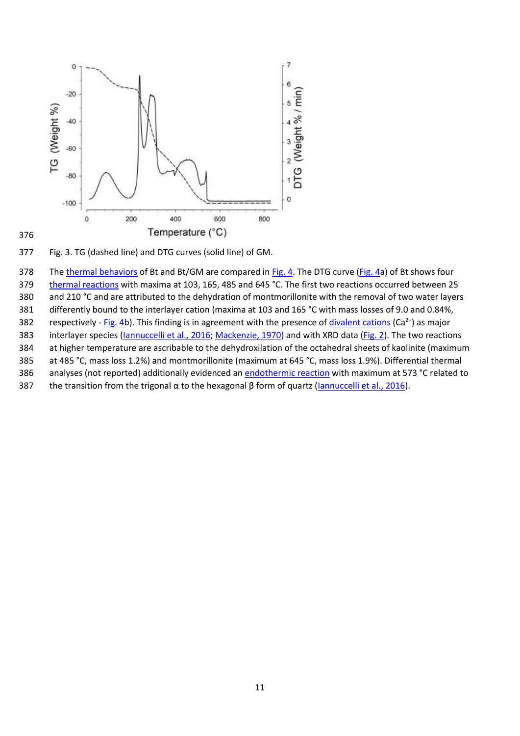

Fig. 3. TG (dashed line) and DTG curves (solid line) of GM.

378 The [thermal behaviors](https://www.sciencedirect.com/topics/engineering/thermal-behaviour) of Bt and Bt/GM are compared i[n Fig. 4.](https://www.sciencedirect.com/science/article/pii/S0169131718301340?via%3Dihub#f0020) The DTG curve [\(Fig. 4a](https://www.sciencedirect.com/science/article/pii/S0169131718301340?via%3Dihub#f0020)) of Bt shows four [thermal reactions](https://www.sciencedirect.com/topics/earth-and-planetary-sciences/thermal-reaction) with maxima at 103, 165, 485 and 645 °C. The first two reactions occurred between 25 and 210 °C and are attributed to the dehydration of montmorillonite with the removal of two water layers differently bound to the interlayer cation (maxima at 103 and 165 °C with mass losses of 9.0 and 0.84%, 382 respectively - [Fig. 4b](https://www.sciencedirect.com/science/article/pii/S0169131718301340?via%3Dihub#f0020)). This finding is in agreement with the presence o[f divalent cations](https://www.sciencedirect.com/topics/engineering/divalent-cation) (Ca<sup>2+</sup>) as major 383 interlayer species (*Iannuccelli et al., 2016; Mackenzie, 1970*) and with XRD data (*Fig. 2*). The two reactions at higher temperature are ascribable to the dehydroxilation of the octahedral sheets of kaolinite (maximum at 485 °C, mass loss 1.2%) and montmorillonite (maximum at 645 °C, mass loss 1.9%). Differential thermal 386 analyses (not reported) additionally evidenced a[n endothermic reaction](https://www.sciencedirect.com/topics/earth-and-planetary-sciences/endothermic-reaction) with maximum at 573 °C related to 387 the transition from the trigonal  $\alpha$  to the hexagonal  $\beta$  form of quartz [\(Iannuccelli et al., 2016\)](https://www.sciencedirect.com/science/article/pii/S0169131718301340?via%3Dihub#bb0200).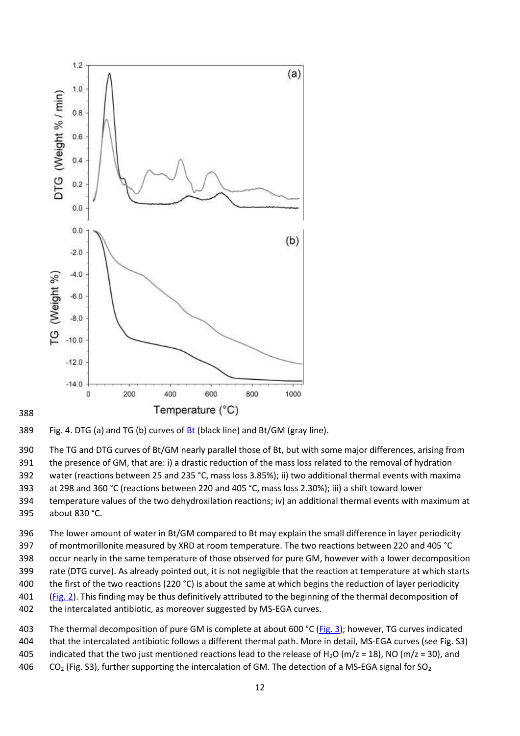

#### 

#### 389 Fig. 4. DTG (a) and TG (b) curves of  $Bt$  (black line) and Bt/GM (gray line).

 The TG and DTG curves of Bt/GM nearly parallel those of Bt, but with some major differences, arising from the presence of GM, that are: i) a drastic reduction of the mass loss related to the removal of hydration water (reactions between 25 and 235 °C, mass loss 3.85%); ii) two additional thermal events with maxima

 at 298 and 360 °C (reactions between 220 and 405 °C, mass loss 2.30%); iii) a shift toward lower temperature values of the two dehydroxilation reactions; iv) an additional thermal events with maximum at

about 830 °C.

 The lower amount of water in Bt/GM compared to Bt may explain the small difference in layer periodicity of montmorillonite measured by XRD at room temperature. The two reactions between 220 and 405 °C

occur nearly in the same temperature of those observed for pure GM, however with a lower decomposition

- rate (DTG curve). As already pointed out, it is not negligible that the reaction at temperature at which starts
- 400 the first of the two reactions (220 $^{\circ}$ C) is about the same at which begins the reduction of layer periodicity
- [\(Fig. 2\)](https://www.sciencedirect.com/science/article/pii/S0169131718301340?via%3Dihub#f0010). This finding may be thus definitively attributed to the beginning of the thermal decomposition of
- the intercalated antibiotic, as moreover suggested by MS-EGA curves.

 The thermal decomposition of pure GM is complete at about 600 °C ([Fig. 3\)](https://www.sciencedirect.com/science/article/pii/S0169131718301340?via%3Dihub#f0015); however, TG curves indicated that the intercalated antibiotic follows a different thermal path. More in detail, MS-EGA curves (see Fig. S3) 405 indicated that the two just mentioned reactions lead to the release of H<sub>2</sub>O (m/z = 18), NO (m/z = 30), and  $CO<sub>2</sub>$  (Fig. S3), further supporting the intercalation of GM. The detection of a MS-EGA signal for SO<sub>2</sub>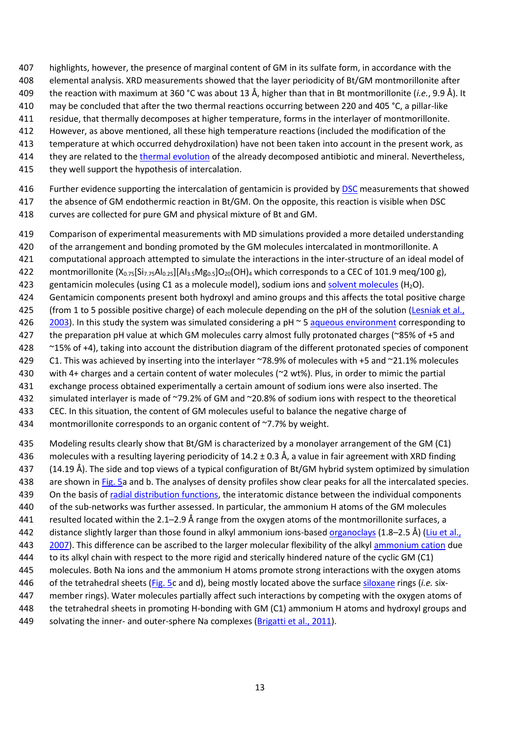- highlights, however, the presence of marginal content of GM in its sulfate form, in accordance with the
- elemental analysis. XRD measurements showed that the layer periodicity of Bt/GM montmorillonite after
- the reaction with maximum at 360 °C was about 13 Å, higher than that in Bt montmorillonite (*i.e.*, 9.9 Å). It
- may be concluded that after the two thermal reactions occurring between 220 and 405 °C, a pillar-like
- residue, that thermally decomposes at higher temperature, forms in the interlayer of montmorillonite.
- However, as above mentioned, all these high temperature reactions (included the modification of the
- temperature at which occurred dehydroxilation) have not been taken into account in the present work, as
- they are related to the [thermal evolution](https://www.sciencedirect.com/topics/earth-and-planetary-sciences/thermal-evolution) of the already decomposed antibiotic and mineral. Nevertheless,
- they well support the hypothesis of intercalation.
- 416 Further evidence supporting the intercalation of gentamicin is provided b[y DSC](https://www.sciencedirect.com/topics/earth-and-planetary-sciences/differential-scanning-calorimetry) measurements that showed
- the absence of GM endothermic reaction in Bt/GM. On the opposite, this reaction is visible when DSC
- curves are collected for pure GM and physical mixture of Bt and GM.
- Comparison of experimental measurements with MD simulations provided a more detailed understanding
- 420 of the arrangement and bonding promoted by the GM molecules intercalated in montmorillonite. A
- computational approach attempted to simulate the interactions in the inter-structure of an ideal model of
- 422 montmorillonite  $(X_{0.75}[Si_{7.75}Al_{0.25}][Al_{3.5}Mg_{0.5}]O_{20}(OH)_{4}$  which corresponds to a CEC of 101.9 meg/100 g),
- 423 gentamicin molecules (using C1 as a molecule model), sodium ions and [solvent molecules](https://www.sciencedirect.com/topics/engineering/solvent-molecule)  $(H_2O)$ .
- Gentamicin components present both hydroxyl and amino groups and this affects the total positive charge
- 425 (from 1 to 5 possible positive charge) of each molecule depending on the pH of the solution (Lesniak et al.,
- [2003](https://www.sciencedirect.com/science/article/pii/S0169131718301340?via%3Dihub#bb0260)). In this study the system was simulated considering a pH ~ 5 [aqueous environment](https://www.sciencedirect.com/topics/engineering/aqueous-environment) corresponding to
- 427 the preparation pH value at which GM molecules carry almost fully protonated charges (~85% of +5 and
- ~15% of +4), taking into account the distribution diagram of the different protonated species of component
- C1. This was achieved by inserting into the interlayer ~78.9% of molecules with +5 and ~21.1% molecules
- with 4+ charges and a certain content of water molecules (~2 wt%). Plus, in order to mimic the partial
- exchange process obtained experimentally a certain amount of sodium ions were also inserted. The
- simulated interlayer is made of ~79.2% of GM and ~20.8% of sodium ions with respect to the theoretical CEC. In this situation, the content of GM molecules useful to balance the negative charge of
- 
- 434 montmorillonite corresponds to an organic content of ~7.7% by weight.
- Modeling results clearly show that Bt/GM is characterized by a monolayer arrangement of the GM (C1)
- molecules with a resulting layering periodicity of 14.2 ± 0.3 Å, a value in fair agreement with XRD finding
- (14.19 Å). The side and top views of a typical configuration of Bt/GM hybrid system optimized by simulation
- 438 are shown i[n Fig. 5a](https://www.sciencedirect.com/science/article/pii/S0169131718301340?via%3Dihub#f0025) and b. The analyses of density profiles show clear peaks for all the intercalated species.
- On the basis of [radial distribution functions,](https://www.sciencedirect.com/topics/engineering/radial-distribution-function) the interatomic distance between the individual components
- of the sub-networks was further assessed. In particular, the ammonium H atoms of the GM molecules resulted located within the 2.1–2.9 Å range from the oxygen atoms of the montmorillonite surfaces, a
- distance slightly larger than those found in alkyl ammonium ions-based [organoclays](https://www.sciencedirect.com/topics/earth-and-planetary-sciences/organoclay) (1.8–2.5 Å) ([Liu et al.,](https://www.sciencedirect.com/science/article/pii/S0169131718301340?via%3Dihub#bb0265)
- [2007\)](https://www.sciencedirect.com/science/article/pii/S0169131718301340?via%3Dihub#bb0265). This difference can be ascribed to the larger molecular flexibility of the alkyl [ammonium cation](https://www.sciencedirect.com/topics/engineering/ammonium-cation) due
- to its alkyl chain with respect to the more rigid and sterically hindered nature of the cyclic GM (C1)
- molecules. Both Na ions and the ammonium H atoms promote strong interactions with the oxygen atoms
- of the tetrahedral sheets [\(Fig. 5c](https://www.sciencedirect.com/science/article/pii/S0169131718301340?via%3Dihub#f0025) and d), being mostly located above the surface [siloxane](https://www.sciencedirect.com/topics/earth-and-planetary-sciences/siloxane) rings (*i.e.* six-
- member rings). Water molecules partially affect such interactions by competing with the oxygen atoms of
- the tetrahedral sheets in promoting H-bonding with GM (C1) ammonium H atoms and hydroxyl groups and
- 449 solvating the inner- and outer-sphere Na complexes [\(Brigatti et al., 2011\)](https://www.sciencedirect.com/science/article/pii/S0169131718301340?via%3Dihub#bb0075).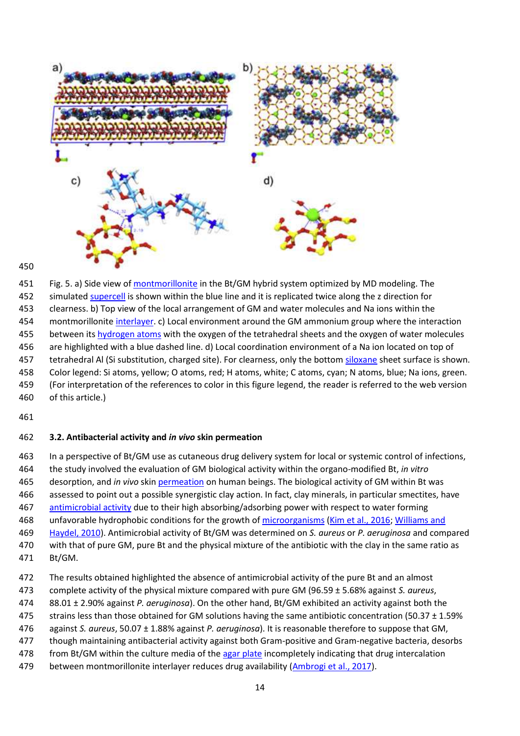

#### 

 Fig. 5. a) Side view of [montmorillonite](https://www.sciencedirect.com/topics/earth-and-planetary-sciences/montmorillonite) in the Bt/GM hybrid system optimized by MD modeling. The simulated [supercell](https://www.sciencedirect.com/topics/earth-and-planetary-sciences/supercell) is shown within the blue line and it is replicated twice along the z direction for clearness. b) Top view of the local arrangement of GM and water molecules and Na ions within the montmorillonit[e interlayer.](https://www.sciencedirect.com/topics/engineering/interlayer) c) Local environment around the GM ammonium group where the interaction between it[s hydrogen atoms](https://www.sciencedirect.com/topics/earth-and-planetary-sciences/hydrogen-atom) with the oxygen of the tetrahedral sheets and the oxygen of water molecules are highlighted with a blue dashed line. d) Local coordination environment of a Na ion located on top of 457 tetrahedral Al (Si substitution, charged site). For clearness, only the botto[m siloxane](https://www.sciencedirect.com/topics/earth-and-planetary-sciences/siloxane) sheet surface is shown. Color legend: Si atoms, yellow; O atoms, red; H atoms, white; C atoms, cyan; N atoms, blue; Na ions, green. (For interpretation of the references to color in this figure legend, the reader is referred to the web version of this article.)

#### **3.2. Antibacterial activity and** *in vivo* **skin permeation**

 In a perspective of Bt/GM use as cutaneous drug delivery system for local or systemic control of infections, the study involved the evaluation of GM biological activity within the organo-modified Bt, *in vitro* desorption, and *in vivo* skin [permeation](https://www.sciencedirect.com/topics/engineering/permeation) on human beings. The biological activity of GM within Bt was assessed to point out a possible synergistic clay action. In fact, clay minerals, in particular smectites, have [antimicrobial activity](https://www.sciencedirect.com/topics/engineering/antimicrobial-activity) due to their high absorbing/adsorbing power with respect to water forming 468 unfavorable hydrophobic conditions for the growth of [microorganisms](https://www.sciencedirect.com/topics/earth-and-planetary-sciences/micro-organism) [\(Kim et al., 2016;](https://www.sciencedirect.com/science/article/pii/S0169131718301340?via%3Dihub#bb0240) Williams and [Haydel, 2010\)](https://www.sciencedirect.com/science/article/pii/S0169131718301340?via%3Dihub#bb0425). Antimicrobial activity of Bt/GM was determined on *S. aureus* or *P. aeruginosa* and compared with that of pure GM, pure Bt and the physical mixture of the antibiotic with the clay in the same ratio as

- Bt/GM.
- The results obtained highlighted the absence of antimicrobial activity of the pure Bt and an almost
- complete activity of the physical mixture compared with pure GM (96.59 ± 5.68% against *S. aureus*,
- 88.01 ± 2.90% against *P. aeruginosa*). On the other hand, Bt/GM exhibited an activity against both the
- strains less than those obtained for GM solutions having the same antibiotic concentration (50.37 ± 1.59%
- against *S. aureus*, 50.07 ± 1.88% against *P. aeruginosa*). It is reasonable therefore to suppose that GM,
- though maintaining antibacterial activity against both Gram-positive and Gram-negative bacteria, desorbs
- 478 from Bt/GM within the culture media of the [agar plate](https://www.sciencedirect.com/topics/engineering/agar-plate) incompletely indicating that drug intercalation
- between montmorillonite interlayer reduces drug availability [\(Ambrogi et al., 2017\)](https://www.sciencedirect.com/science/article/pii/S0169131718301340?via%3Dihub#bb0020).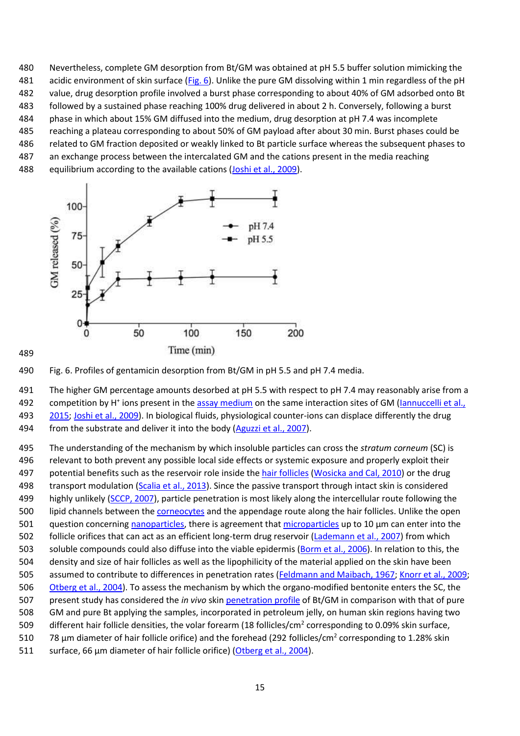Nevertheless, complete GM desorption from Bt/GM was obtained at pH 5.5 buffer solution mimicking the 481 acidic environment of skin surface [\(Fig. 6](https://www.sciencedirect.com/science/article/pii/S0169131718301340?via%3Dihub#f0030)). Unlike the pure GM dissolving within 1 min regardless of the pH value, drug desorption profile involved a burst phase corresponding to about 40% of GM adsorbed onto Bt followed by a sustained phase reaching 100% drug delivered in about 2 h. Conversely, following a burst phase in which about 15% GM diffused into the medium, drug desorption at pH 7.4 was incomplete reaching a plateau corresponding to about 50% of GM payload after about 30 min. Burst phases could be related to GM fraction deposited or weakly linked to Bt particle surface whereas the subsequent phases to an exchange process between the intercalated GM and the cations present in the media reaching 488 equilibrium according to the available cations [\(Joshi et al., 2009\)](https://www.sciencedirect.com/science/article/pii/S0169131718301340?via%3Dihub#bb0225).



Fig. 6. Profiles of gentamicin desorption from Bt/GM in pH 5.5 and pH 7.4 media.

 The higher GM percentage amounts desorbed at pH 5.5 with respect to pH 7.4 may reasonably arise from a 492 competition by H<sup>+</sup> ions present in th[e assay medium](https://www.sciencedirect.com/topics/engineering/assay-medium) on the same interaction sites of GM (Iannuccelli et al., [2015;](https://www.sciencedirect.com/science/article/pii/S0169131718301340?via%3Dihub#bb0195) [Joshi et al., 2009\)](https://www.sciencedirect.com/science/article/pii/S0169131718301340?via%3Dihub#bb0225). In biological fluids, physiological counter-ions can displace differently the drug 494 from the substrate and deliver it into the body [\(Aguzzi et al., 2007\)](https://www.sciencedirect.com/science/article/pii/S0169131718301340?via%3Dihub#bb0010).

 The understanding of the mechanism by which insoluble particles can cross the *stratum corneum* (SC) is relevant to both prevent any possible local side effects or systemic exposure and properly exploit their 497 potential benefits such as the reservoir role inside the [hair follicles](https://www.sciencedirect.com/topics/engineering/hair-follicle) [\(Wosicka and Cal, 2010\)](https://www.sciencedirect.com/science/article/pii/S0169131718301340?via%3Dihub#bb0435) or the drug 498 transport modulation [\(Scalia et al., 2013\)](https://www.sciencedirect.com/science/article/pii/S0169131718301340?via%3Dihub#bb0390). Since the passive transport through intact skin is considered 499 highly unlikely [\(SCCP, 2007\)](https://www.sciencedirect.com/science/article/pii/S0169131718301340?via%3Dihub#bb0395), particle penetration is most likely along the intercellular route following the 500 lipid channels between the [corneocytes](https://www.sciencedirect.com/topics/engineering/corneocytes) and the appendage route along the hair follicles. Unlike the open question concerning [nanoparticles,](https://www.sciencedirect.com/topics/engineering/nanoparticle) there is agreement tha[t microparticles](https://www.sciencedirect.com/topics/earth-and-planetary-sciences/microparticles) up to 10 μm can enter into the follicle orifices that can act as an efficient long-term drug reservoir [\(Lademann et al., 2007\)](https://www.sciencedirect.com/science/article/pii/S0169131718301340?via%3Dihub#bb0250) from which soluble compounds could also diffuse into the viable epidermis [\(Borm et al., 2006\)](https://www.sciencedirect.com/science/article/pii/S0169131718301340?via%3Dihub#bb0070). In relation to this, the density and size of hair follicles as well as the lipophilicity of the material applied on the skin have been 505 assumed to contribute to differences in penetration rates [\(Feldmann and Maibach, 1967;](https://www.sciencedirect.com/science/article/pii/S0169131718301340?via%3Dihub#bb0135) [Knorr et al., 2009;](https://www.sciencedirect.com/science/article/pii/S0169131718301340?via%3Dihub#bb0245) [Otberg et al., 2004\)](https://www.sciencedirect.com/science/article/pii/S0169131718301340?via%3Dihub#bb0330). To assess the mechanism by which the organo-modified bentonite enters the SC, the present study has considered the *in vivo* skin [penetration profile](https://www.sciencedirect.com/topics/engineering/penetration-profile) of Bt/GM in comparison with that of pure GM and pure Bt applying the samples, incorporated in petroleum jelly, on human skin regions having two 509 different hair follicle densities, the volar forearm (18 follicles/cm<sup>2</sup> corresponding to 0.09% skin surface, 510 78 μm diameter of hair follicle orifice) and the forehead (292 follicles/cm<sup>2</sup> corresponding to 1.28% skin surface, 66 μm diameter of hair follicle orifice) [\(Otberg et al., 2004\)](https://www.sciencedirect.com/science/article/pii/S0169131718301340?via%3Dihub#bb0330).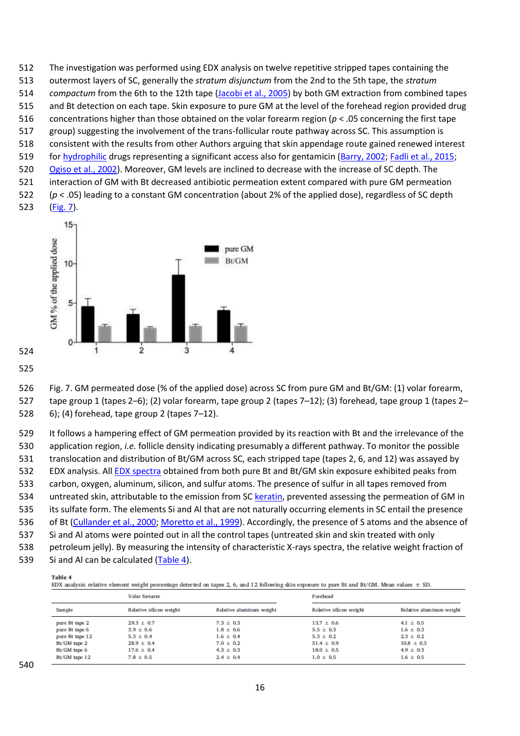The investigation was performed using EDX analysis on twelve repetitive stripped tapes containing the outermost layers of SC, generally the *stratum disjunctum* from the 2nd to the 5th tape, the *stratum compactum* from the 6th to the 12th tape [\(Jacobi et al., 2005\)](https://www.sciencedirect.com/science/article/pii/S0169131718301340?via%3Dihub#bb0215) by both GM extraction from combined tapes and Bt detection on each tape. Skin exposure to pure GM at the level of the forehead region provided drug concentrations higher than those obtained on the volar forearm region (*p* < .05 concerning the first tape group) suggesting the involvement of the trans-follicular route pathway across SC. This assumption is consistent with the results from other Authors arguing that skin appendage route gained renewed interest for [hydrophilic](https://www.sciencedirect.com/topics/engineering/hydrophilic) drugs representing a significant access also for gentamicin [\(Barry, 2002;](https://www.sciencedirect.com/science/article/pii/S0169131718301340?via%3Dihub#bb0050) [Fadli et al., 2015;](https://www.sciencedirect.com/science/article/pii/S0169131718301340?via%3Dihub#bb0125) [Ogiso et al., 2002\)](https://www.sciencedirect.com/science/article/pii/S0169131718301340?via%3Dihub#bb0325). Moreover, GM levels are inclined to decrease with the increase of SC depth. The interaction of GM with Bt decreased antibiotic permeation extent compared with pure GM permeation (*p* < .05) leading to a constant GM concentration (about 2% of the applied dose), regardless of SC depth [\(Fig. 7\)](https://www.sciencedirect.com/science/article/pii/S0169131718301340?via%3Dihub#f0035).



 

 Fig. 7. GM permeated dose (% of the applied dose) across SC from pure GM and Bt/GM: (1) volar forearm, tape group 1 (tapes 2–6); (2) volar forearm, tape group 2 (tapes 7–12); (3) forehead, tape group 1 (tapes 2– 6); (4) forehead, tape group 2 (tapes 7–12).

 It follows a hampering effect of GM permeation provided by its reaction with Bt and the irrelevance of the application region, *i.e.* follicle density indicating presumably a different pathway. To monitor the possible translocation and distribution of Bt/GM across SC, each stripped tape (tapes 2, 6, and 12) was assayed by 532 EDX analysis. All **EDX** spectra obtained from both pure Bt and Bt/GM skin exposure exhibited peaks from carbon, oxygen, aluminum, silicon, and sulfur atoms. The presence of sulfur in all tapes removed from untreated skin, attributable to the emission from S[C keratin,](https://www.sciencedirect.com/topics/earth-and-planetary-sciences/keratin) prevented assessing the permeation of GM in its sulfate form. The elements Si and Al that are not naturally occurring elements in SC entail the presence of Bt [\(Cullander et al., 2000;](https://www.sciencedirect.com/science/article/pii/S0169131718301340?via%3Dihub#bb0100) [Moretto et al., 1999\)](https://www.sciencedirect.com/science/article/pii/S0169131718301340?via%3Dihub#bb0300). Accordingly, the presence of S atoms and the absence of Si and Al atoms were pointed out in all the control tapes (untreated skin and skin treated with only petroleum jelly). By measuring the intensity of characteristic X-rays spectra, the relative weight fraction of 539 Si and Al can be calculated [\(Table 4\)](https://www.sciencedirect.com/science/article/pii/S0169131718301340?via%3Dihub#t0020).

#### Table 4

EDX analysis: relative element weight percentage detected on tapes 2, 6, and 12 following skin exposure to pure Bt and Bt/GM. Mean values  $\pm$  SD.

|                 | Volar forearm           |                          | Forehead                |                          |
|-----------------|-------------------------|--------------------------|-------------------------|--------------------------|
| <b>Sample</b>   | Relative silicon weight | Relative aluminum weight | Relative silicon weight | Relative aluminum weight |
| pure Bt tape 2  | $29.3 \pm 0.7$          | $7.3 \pm 0.3$            | $13.7 \pm 0.6$          | $4.1 \pm 0.5$            |
| pure Bt tape 6  | $3.9 \pm 0.6$           | $1.8 \pm 0.6$            | $5.5 \pm 0.3$           | $1.6 \pm 0.3$            |
| pure Bt tape 12 | $5.3 \pm 0.4$           | $1.6 \pm 0.4$            | $5.3 \pm 0.2$           | $2.3 \pm 0.2$            |
| Bt/GM tape 2    | $28.9 \pm 0.4$          | $7.0 \pm 0.2$            | $51.4 \pm 0.9$          | $10.8 \pm 0.3$           |
| Bt/GM tape 6    | $17.6 \pm 0.4$          | $4.3 \pm 0.3$            | $18.0 \pm 0.5$          | $4.9 \pm 0.3$            |
| Bt/GM tape 12   | $7.8 \pm 0.5$           | $2.4 \pm 0.4$            | $1.0 \pm 0.5$           | $1.6 \pm 0.5$            |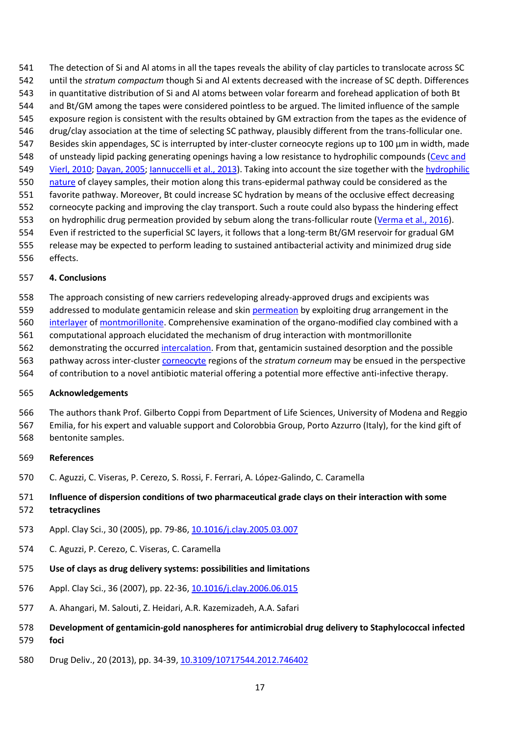The detection of Si and Al atoms in all the tapes reveals the ability of clay particles to translocate across SC until the *stratum compactum* though Si and Al extents decreased with the increase of SC depth. Differences in quantitative distribution of Si and Al atoms between volar forearm and forehead application of both Bt and Bt/GM among the tapes were considered pointless to be argued. The limited influence of the sample exposure region is consistent with the results obtained by GM extraction from the tapes as the evidence of drug/clay association at the time of selecting SC pathway, plausibly different from the trans-follicular one. Besides skin appendages, SC is interrupted by inter-cluster corneocyte regions up to 100 μm in width, made of unsteady lipid packing generating openings having a low resistance to hydrophilic compounds [\(Cevc and](https://www.sciencedirect.com/science/article/pii/S0169131718301340?via%3Dihub#bb0085)  [Vierl, 2010;](https://www.sciencedirect.com/science/article/pii/S0169131718301340?via%3Dihub#bb0085) [Dayan, 2005;](https://www.sciencedirect.com/science/article/pii/S0169131718301340?via%3Dihub#bb0105) [Iannuccelli et al., 2013\)](https://www.sciencedirect.com/science/article/pii/S0169131718301340?via%3Dihub#bb0190). Taking into account the size together with the hydrophilic [nature](https://www.sciencedirect.com/topics/engineering/hydrophilic-nature) of clayey samples, their motion along this trans-epidermal pathway could be considered as the favorite pathway. Moreover, Bt could increase SC hydration by means of the occlusive effect decreasing corneocyte packing and improving the clay transport. Such a route could also bypass the hindering effect on hydrophilic drug permeation provided by sebum along the trans-follicular route [\(Verma et al., 2016\)](https://www.sciencedirect.com/science/article/pii/S0169131718301340?via%3Dihub#bb0420). Even if restricted to the superficial SC layers, it follows that a long-term Bt/GM reservoir for gradual GM release may be expected to perform leading to sustained antibacterial activity and minimized drug side

effects.

#### **4. Conclusions**

 The approach consisting of new carriers redeveloping already-approved drugs and excipients was 559 addressed to modulate gentamicin release and skin [permeation](https://www.sciencedirect.com/topics/engineering/permeation) by exploiting drug arrangement in the [interlayer](https://www.sciencedirect.com/topics/engineering/interlayer) of [montmorillonite.](https://www.sciencedirect.com/topics/earth-and-planetary-sciences/montmorillonite) Comprehensive examination of the organo-modified clay combined with a computational approach elucidated the mechanism of drug interaction with montmorillonite demonstrating the occurred [intercalation.](https://www.sciencedirect.com/topics/earth-and-planetary-sciences/intercalation) From that, gentamicin sustained desorption and the possible pathway across inter-cluster [corneocyte](https://www.sciencedirect.com/topics/engineering/corneocytes) regions of the *stratum corneum* may be ensued in the perspective of contribution to a novel antibiotic material offering a potential more effective anti-infective therapy.

#### **Acknowledgements**

The authors thank Prof. Gilberto Coppi from Department of Life Sciences, University of Modena and Reggio

 Emilia, for his expert and valuable support and Colorobbia Group, Porto Azzurro (Italy), for the kind gift of bentonite samples.

#### **References**

C. Aguzzi, C. Viseras, P. Cerezo, S. Rossi, F. Ferrari, A. López-Galindo, C. Caramella

## **Influence of dispersion conditions of two pharmaceutical grade clays on their interaction with some tetracyclines**

- Appl. Clay Sci., 30 (2005), pp. 79-86, [10.1016/j.clay.2005.03.007](https://doi.org/10.1016/j.clay.2005.03.007)
- C. Aguzzi, P. Cerezo, C. Viseras, C. Caramella
- **Use of clays as drug delivery systems: possibilities and limitations**
- Appl. Clay Sci., 36 (2007), pp. 22-36, [10.1016/j.clay.2006.06.015](https://doi.org/10.1016/j.clay.2006.06.015)
- A. Ahangari, M. Salouti, Z. Heidari, A.R. Kazemizadeh, A.A. Safari
- **Development of gentamicin-gold nanospheres for antimicrobial drug delivery to Staphylococcal infected foci**
- Drug Deliv., 20 (2013), pp. 34-39[, 10.3109/10717544.2012.746402](https://doi.org/10.3109/10717544.2012.746402)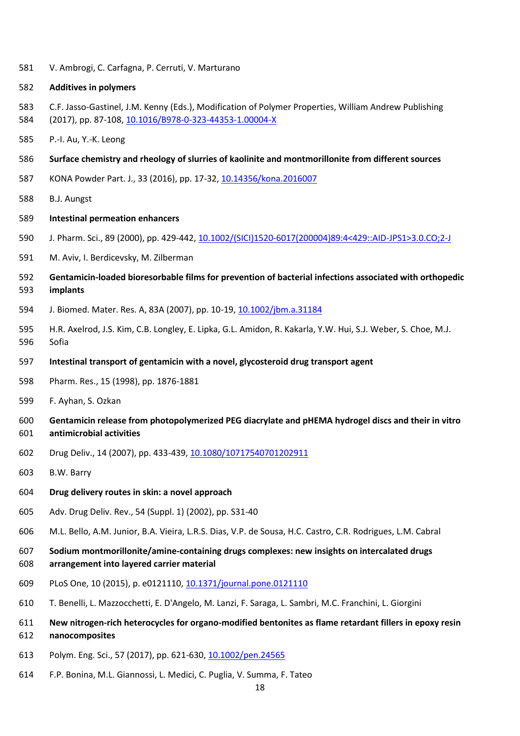V. Ambrogi, C. Carfagna, P. Cerruti, V. Marturano

#### **Additives in polymers**

- C.F. Jasso-Gastinel, J.M. Kenny (Eds.), Modification of Polymer Properties, William Andrew Publishing
- (2017), pp. 87-108, [10.1016/B978-0-323-44353-1.00004-X](https://doi.org/10.1016/B978-0-323-44353-1.00004-X)
- P.-I. Au, Y.-K. Leong
- **Surface chemistry and rheology of slurries of kaolinite and montmorillonite from different sources**
- KONA Powder Part. J., 33 (2016), pp. 17-32, [10.14356/kona.2016007](https://doi.org/10.14356/kona.2016007)
- B.J. Aungst
- **Intestinal permeation enhancers**
- J. Pharm. Sci., 89 (2000), pp. 429-442, [10.1002/\(SICI\)1520-6017\(200004\)89:4<429::AID-JPS1>3.0.CO;2-J](https://doi.org/10.1002/(SICI)1520-6017(200004)89:4%3c429::AID-JPS1%3e3.0.CO;2-J)
- M. Aviv, I. Berdicevsky, M. Zilberman
- **Gentamicin-loaded bioresorbable films for prevention of bacterial infections associated with orthopedic implants**
- J. Biomed. Mater. Res. A, 83A (2007), pp. 10-19[, 10.1002/jbm.a.31184](https://doi.org/10.1002/jbm.a.31184)
- H.R. Axelrod, J.S. Kim, C.B. Longley, E. Lipka, G.L. Amidon, R. Kakarla, Y.W. Hui, S.J. Weber, S. Choe, M.J. Sofia
- **Intestinal transport of gentamicin with a novel, glycosteroid drug transport agent**
- Pharm. Res., 15 (1998), pp. 1876-1881
- F. Ayhan, S. Ozkan
- **Gentamicin release from photopolymerized PEG diacrylate and pHEMA hydrogel discs and their in vitro antimicrobial activities**
- Drug Deliv., 14 (2007), pp. 433-439[, 10.1080/10717540701202911](https://doi.org/10.1080/10717540701202911)
- B.W. Barry
- **Drug delivery routes in skin: a novel approach**
- Adv. Drug Deliv. Rev., 54 (Suppl. 1) (2002), pp. S31-40
- M.L. Bello, A.M. Junior, B.A. Vieira, L.R.S. Dias, V.P. de Sousa, H.C. Castro, C.R. Rodrigues, L.M. Cabral
- **Sodium montmorillonite/amine-containing drugs complexes: new insights on intercalated drugs arrangement into layered carrier material**
- PLoS One, 10 (2015), p. e0121110[, 10.1371/journal.pone.0121110](https://doi.org/10.1371/journal.pone.0121110)
- T. Benelli, L. Mazzocchetti, E. D'Angelo, M. Lanzi, F. Saraga, L. Sambri, M.C. Franchini, L. Giorgini
- **New nitrogen-rich heterocycles for organo-modified bentonites as flame retardant fillers in epoxy resin nanocomposites**
- 613 Polym. Eng. Sci., 57 (2017), pp. 621-630, [10.1002/pen.24565](https://doi.org/10.1002/pen.24565)
- F.P. Bonina, M.L. Giannossi, L. Medici, C. Puglia, V. Summa, F. Tateo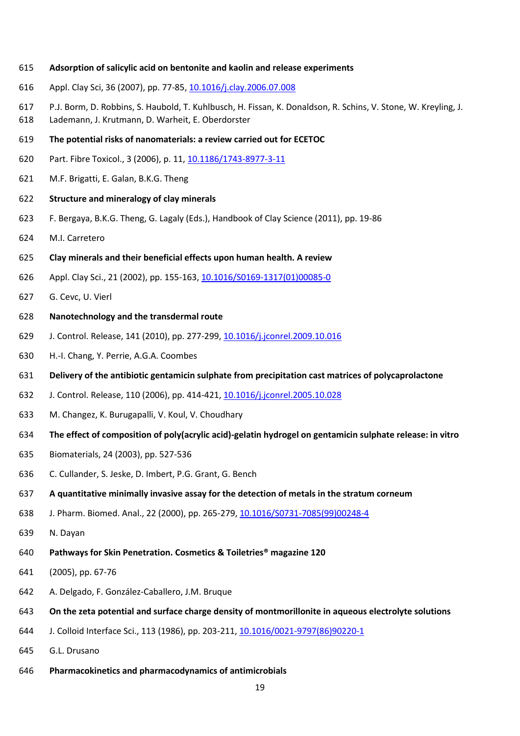- **Adsorption of salicylic acid on bentonite and kaolin and release experiments**
- Appl. Clay Sci, 36 (2007), pp. 77-85[, 10.1016/j.clay.2006.07.008](https://doi.org/10.1016/j.clay.2006.07.008)
- P.J. Borm, D. Robbins, S. Haubold, T. Kuhlbusch, H. Fissan, K. Donaldson, R. Schins, V. Stone, W. Kreyling, J.
- Lademann, J. Krutmann, D. Warheit, E. Oberdorster
- **The potential risks of nanomaterials: a review carried out for ECETOC**
- Part. Fibre Toxicol., 3 (2006), p. 11[, 10.1186/1743-8977-3-11](https://doi.org/10.1186/1743-8977-3-11)
- M.F. Brigatti, E. Galan, B.K.G. Theng
- **Structure and mineralogy of clay minerals**
- F. Bergaya, B.K.G. Theng, G. Lagaly (Eds.), Handbook of Clay Science (2011), pp. 19-86
- M.I. Carretero
- **Clay minerals and their beneficial effects upon human health. A review**
- Appl. Clay Sci., 21 (2002), pp. 155-163[, 10.1016/S0169-1317\(01\)00085-0](https://doi.org/10.1016/S0169-1317(01)00085-0)
- G. Cevc, U. Vierl

#### **Nanotechnology and the transdermal route**

- J. Control. Release, 141 (2010), pp. 277-299, [10.1016/j.jconrel.2009.10.016](https://doi.org/10.1016/j.jconrel.2009.10.016)
- H.-I. Chang, Y. Perrie, A.G.A. Coombes
- **Delivery of the antibiotic gentamicin sulphate from precipitation cast matrices of polycaprolactone**
- J. Control. Release, 110 (2006), pp. 414-421, [10.1016/j.jconrel.2005.10.028](https://doi.org/10.1016/j.jconrel.2005.10.028)
- M. Changez, K. Burugapalli, V. Koul, V. Choudhary
- **The effect of composition of poly(acrylic acid)-gelatin hydrogel on gentamicin sulphate release: in vitro**
- Biomaterials, 24 (2003), pp. 527-536
- C. Cullander, S. Jeske, D. Imbert, P.G. Grant, G. Bench
- **A quantitative minimally invasive assay for the detection of metals in the stratum corneum**
- J. Pharm. Biomed. Anal., 22 (2000), pp. 265-279[, 10.1016/S0731-7085\(99\)00248-4](https://doi.org/10.1016/S0731-7085(99)00248-4)
- N. Dayan
- **Pathways for Skin Penetration. Cosmetics & Toiletries® magazine 120**
- (2005), pp. 67-76
- A. Delgado, F. González-Caballero, J.M. Bruque
- **On the zeta potential and surface charge density of montmorillonite in aqueous electrolyte solutions**
- J. Colloid Interface Sci., 113 (1986), pp. 203-211, [10.1016/0021-9797\(86\)90220-1](https://doi.org/10.1016/0021-9797(86)90220-1)
- G.L. Drusano
- **Pharmacokinetics and pharmacodynamics of antimicrobials**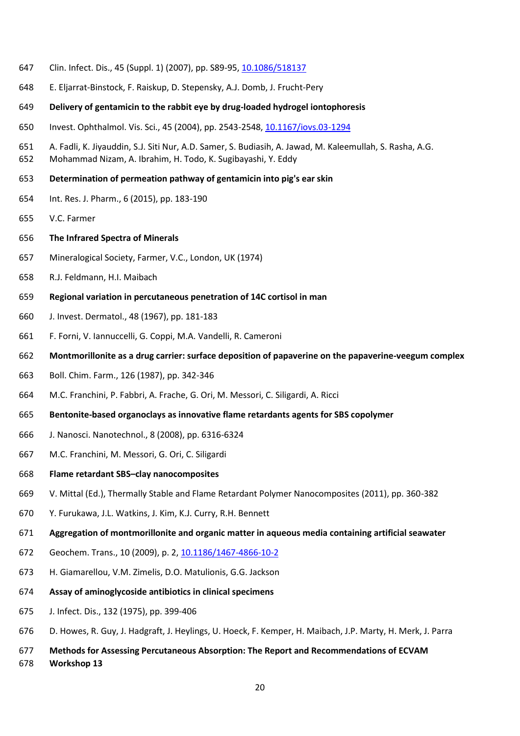- Clin. Infect. Dis., 45 (Suppl. 1) (2007), pp. S89-95, [10.1086/518137](https://doi.org/10.1086/518137)
- E. Eljarrat-Binstock, F. Raiskup, D. Stepensky, A.J. Domb, J. Frucht-Pery
- **Delivery of gentamicin to the rabbit eye by drug-loaded hydrogel iontophoresis**
- Invest. Ophthalmol. Vis. Sci., 45 (2004), pp. 2543-2548, [10.1167/iovs.03-1294](https://doi.org/10.1167/iovs.03-1294)
- A. Fadli, K. Jiyauddin, S.J. Siti Nur, A.D. Samer, S. Budiasih, A. Jawad, M. Kaleemullah, S. Rasha, A.G.
- Mohammad Nizam, A. Ibrahim, H. Todo, K. Sugibayashi, Y. Eddy
- **Determination of permeation pathway of gentamicin into pig's ear skin**
- Int. Res. J. Pharm., 6 (2015), pp. 183-190
- V.C. Farmer
- **The Infrared Spectra of Minerals**
- Mineralogical Society, Farmer, V.C., London, UK (1974)
- R.J. Feldmann, H.I. Maibach
- **Regional variation in percutaneous penetration of 14C cortisol in man**
- J. Invest. Dermatol., 48 (1967), pp. 181-183
- F. Forni, V. Iannuccelli, G. Coppi, M.A. Vandelli, R. Cameroni
- **Montmorillonite as a drug carrier: surface deposition of papaverine on the papaverine-veegum complex**
- Boll. Chim. Farm., 126 (1987), pp. 342-346
- M.C. Franchini, P. Fabbri, A. Frache, G. Ori, M. Messori, C. Siligardi, A. Ricci
- **Bentonite-based organoclays as innovative flame retardants agents for SBS copolymer**
- J. Nanosci. Nanotechnol., 8 (2008), pp. 6316-6324
- M.C. Franchini, M. Messori, G. Ori, C. Siligardi
- **Flame retardant SBS–clay nanocomposites**
- V. Mittal (Ed.), Thermally Stable and Flame Retardant Polymer Nanocomposites (2011), pp. 360-382
- Y. Furukawa, J.L. Watkins, J. Kim, K.J. Curry, R.H. Bennett
- **Aggregation of montmorillonite and organic matter in aqueous media containing artificial seawater**
- Geochem. Trans., 10 (2009), p. 2, [10.1186/1467-4866-10-2](https://doi.org/10.1186/1467-4866-10-2)
- H. Giamarellou, V.M. Zimelis, D.O. Matulionis, G.G. Jackson
- **Assay of aminoglycoside antibiotics in clinical specimens**
- J. Infect. Dis., 132 (1975), pp. 399-406
- D. Howes, R. Guy, J. Hadgraft, J. Heylings, U. Hoeck, F. Kemper, H. Maibach, J.P. Marty, H. Merk, J. Parra
- **Methods for Assessing Percutaneous Absorption: The Report and Recommendations of ECVAM Workshop 13**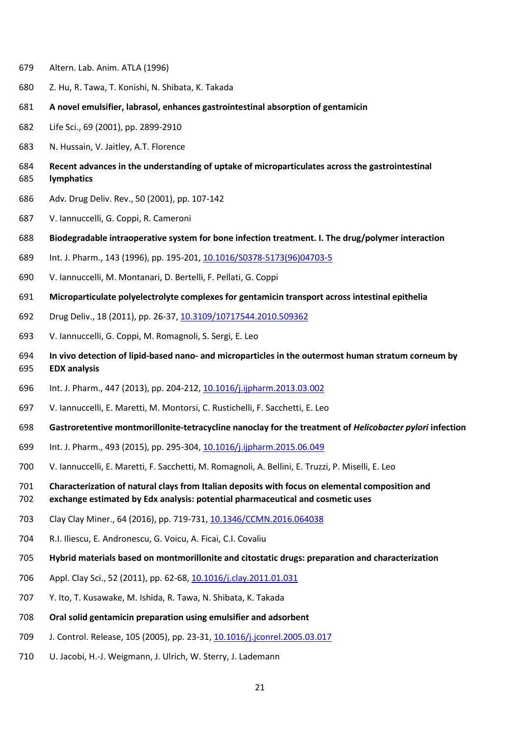- Altern. Lab. Anim. ATLA (1996)
- Z. Hu, R. Tawa, T. Konishi, N. Shibata, K. Takada
- **A novel emulsifier, labrasol, enhances gastrointestinal absorption of gentamicin**
- Life Sci., 69 (2001), pp. 2899-2910
- N. Hussain, V. Jaitley, A.T. Florence
- **Recent advances in the understanding of uptake of microparticulates across the gastrointestinal lymphatics**
- Adv. Drug Deliv. Rev., 50 (2001), pp. 107-142
- V. Iannuccelli, G. Coppi, R. Cameroni
- **Biodegradable intraoperative system for bone infection treatment. I. The drug/polymer interaction**
- Int. J. Pharm., 143 (1996), pp. 195-201[, 10.1016/S0378-5173\(96\)04703-5](https://doi.org/10.1016/S0378-5173(96)04703-5)
- V. Iannuccelli, M. Montanari, D. Bertelli, F. Pellati, G. Coppi
- **Microparticulate polyelectrolyte complexes for gentamicin transport across intestinal epithelia**
- Drug Deliv., 18 (2011), pp. 26-37[, 10.3109/10717544.2010.509362](https://doi.org/10.3109/10717544.2010.509362)
- V. Iannuccelli, G. Coppi, M. Romagnoli, S. Sergi, E. Leo
- **In vivo detection of lipid-based nano- and microparticles in the outermost human stratum corneum by EDX analysis**
- Int. J. Pharm., 447 (2013), pp. 204-212[, 10.1016/j.ijpharm.2013.03.002](https://doi.org/10.1016/j.ijpharm.2013.03.002)
- V. Iannuccelli, E. Maretti, M. Montorsi, C. Rustichelli, F. Sacchetti, E. Leo
- **Gastroretentive montmorillonite-tetracycline nanoclay for the treatment of** *Helicobacter pylori* **infection**
- Int. J. Pharm., 493 (2015), pp. 295-304[, 10.1016/j.ijpharm.2015.06.049](https://doi.org/10.1016/j.ijpharm.2015.06.049)
- V. Iannuccelli, E. Maretti, F. Sacchetti, M. Romagnoli, A. Bellini, E. Truzzi, P. Miselli, E. Leo
- **Characterization of natural clays from Italian deposits with focus on elemental composition and**
- **exchange estimated by Edx analysis: potential pharmaceutical and cosmetic uses**
- Clay Clay Miner., 64 (2016), pp. 719-731[, 10.1346/CCMN.2016.064038](https://doi.org/10.1346/CCMN.2016.064038)
- R.I. Iliescu, E. Andronescu, G. Voicu, A. Ficai, C.I. Covaliu
- **Hybrid materials based on montmorillonite and citostatic drugs: preparation and characterization**
- 706 Appl. Clay Sci., 52 (2011), pp. 62-68, [10.1016/j.clay.2011.01.031](https://doi.org/10.1016/j.clay.2011.01.031)
- Y. Ito, T. Kusawake, M. Ishida, R. Tawa, N. Shibata, K. Takada
- **Oral solid gentamicin preparation using emulsifier and adsorbent**
- J. Control. Release, 105 (2005), pp. 23-31, [10.1016/j.jconrel.2005.03.017](https://doi.org/10.1016/j.jconrel.2005.03.017)
- U. Jacobi, H.-J. Weigmann, J. Ulrich, W. Sterry, J. Lademann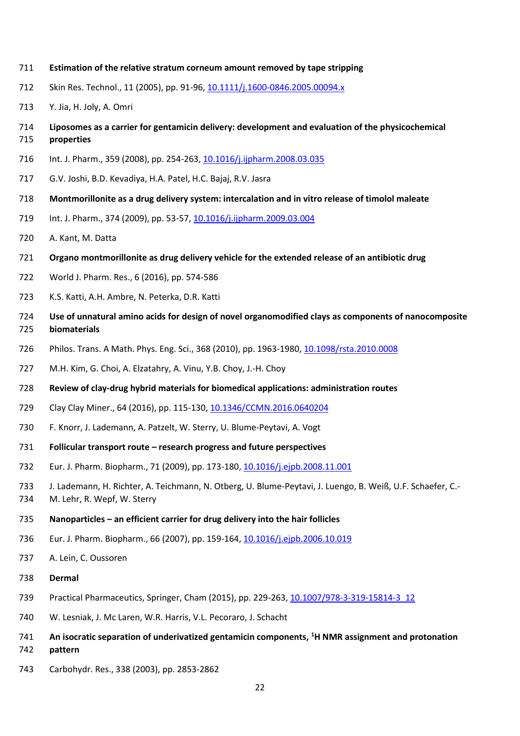- **Estimation of the relative stratum corneum amount removed by tape stripping**
- Skin Res. Technol., 11 (2005), pp. 91-96[, 10.1111/j.1600-0846.2005.00094.x](https://doi.org/10.1111/j.1600-0846.2005.00094.x)
- Y. Jia, H. Joly, A. Omri
- **Liposomes as a carrier for gentamicin delivery: development and evaluation of the physicochemical properties**
- Int. J. Pharm., 359 (2008), pp. 254-263[, 10.1016/j.ijpharm.2008.03.035](https://doi.org/10.1016/j.ijpharm.2008.03.035)
- G.V. Joshi, B.D. Kevadiya, H.A. Patel, H.C. Bajaj, R.V. Jasra
- **Montmorillonite as a drug delivery system: intercalation and in vitro release of timolol maleate**
- Int. J. Pharm., 374 (2009), pp. 53-57[, 10.1016/j.ijpharm.2009.03.004](https://doi.org/10.1016/j.ijpharm.2009.03.004)
- A. Kant, M. Datta
- **Organo montmorillonite as drug delivery vehicle for the extended release of an antibiotic drug**
- World J. Pharm. Res., 6 (2016), pp. 574-586
- K.S. Katti, A.H. Ambre, N. Peterka, D.R. Katti
- **Use of unnatural amino acids for design of novel organomodified clays as components of nanocomposite biomaterials**
- Philos. Trans. A Math. Phys. Eng. Sci., 368 (2010), pp. 1963-1980, [10.1098/rsta.2010.0008](https://doi.org/10.1098/rsta.2010.0008)
- M.H. Kim, G. Choi, A. Elzatahry, A. Vinu, Y.B. Choy, J.-H. Choy
- **Review of clay-drug hybrid materials for biomedical applications: administration routes**
- Clay Clay Miner., 64 (2016), pp. 115-130[, 10.1346/CCMN.2016.0640204](https://doi.org/10.1346/CCMN.2016.0640204)
- F. Knorr, J. Lademann, A. Patzelt, W. Sterry, U. Blume-Peytavi, A. Vogt
- **Follicular transport route – research progress and future perspectives**
- Eur. J. Pharm. Biopharm., 71 (2009), pp. 173-180, [10.1016/j.ejpb.2008.11.001](https://doi.org/10.1016/j.ejpb.2008.11.001)
- J. Lademann, H. Richter, A. Teichmann, N. Otberg, U. Blume-Peytavi, J. Luengo, B. Weiß, U.F. Schaefer, C.-
- M. Lehr, R. Wepf, W. Sterry
- **Nanoparticles – an efficient carrier for drug delivery into the hair follicles**
- Eur. J. Pharm. Biopharm., 66 (2007), pp. 159-164, [10.1016/j.ejpb.2006.10.019](https://doi.org/10.1016/j.ejpb.2006.10.019)
- A. Lein, C. Oussoren
- **Dermal**
- Practical Pharmaceutics, Springer, Cham (2015), pp. 229-263, [10.1007/978-3-319-15814-3\\_12](https://doi.org/10.1007/978-3-319-15814-3_12)
- W. Lesniak, J. Mc Laren, W.R. Harris, V.L. Pecoraro, J. Schacht
- **An isocratic separation of underivatized gentamicin components, <sup>1</sup> H NMR assignment and protonation pattern**
- Carbohydr. Res., 338 (2003), pp. 2853-2862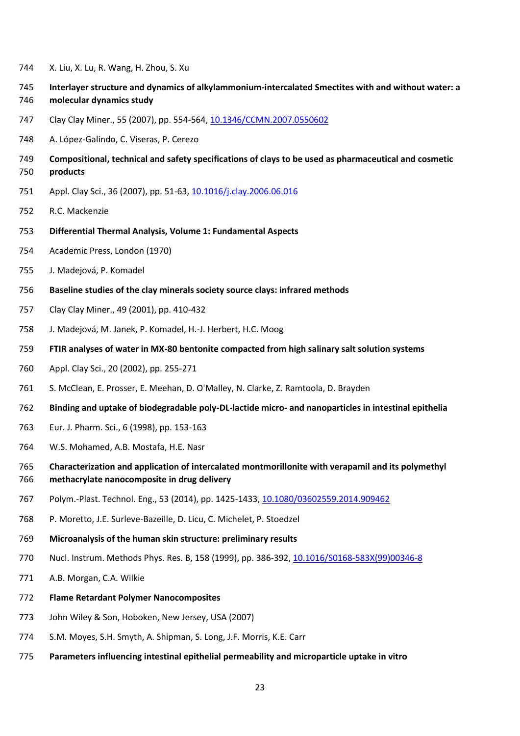- X. Liu, X. Lu, R. Wang, H. Zhou, S. Xu
- **Interlayer structure and dynamics of alkylammonium-intercalated Smectites with and without water: a molecular dynamics study**
- Clay Clay Miner., 55 (2007), pp. 554-564[, 10.1346/CCMN.2007.0550602](https://doi.org/10.1346/CCMN.2007.0550602)
- A. López-Galindo, C. Viseras, P. Cerezo
- **Compositional, technical and safety specifications of clays to be used as pharmaceutical and cosmetic products**
- Appl. Clay Sci., 36 (2007), pp. 51-63, [10.1016/j.clay.2006.06.016](https://doi.org/10.1016/j.clay.2006.06.016)
- R.C. Mackenzie
- **Differential Thermal Analysis, Volume 1: Fundamental Aspects**
- Academic Press, London (1970)
- J. Madejová, P. Komadel
- **Baseline studies of the clay minerals society source clays: infrared methods**
- Clay Clay Miner., 49 (2001), pp. 410-432
- J. Madejová, M. Janek, P. Komadel, H.-J. Herbert, H.C. Moog
- **FTIR analyses of water in MX-80 bentonite compacted from high salinary salt solution systems**
- Appl. Clay Sci., 20 (2002), pp. 255-271
- S. McClean, E. Prosser, E. Meehan, D. O'Malley, N. Clarke, Z. Ramtoola, D. Brayden
- **Binding and uptake of biodegradable poly-DL-lactide micro- and nanoparticles in intestinal epithelia**
- Eur. J. Pharm. Sci., 6 (1998), pp. 153-163
- W.S. Mohamed, A.B. Mostafa, H.E. Nasr
- **Characterization and application of intercalated montmorillonite with verapamil and its polymethyl methacrylate nanocomposite in drug delivery**
- 767 Polym.-Plast. Technol. Eng., 53 (2014), pp. 1425-1433, [10.1080/03602559.2014.909462](https://doi.org/10.1080/03602559.2014.909462)
- P. Moretto, J.E. Surleve-Bazeille, D. Licu, C. Michelet, P. Stoedzel
- **Microanalysis of the human skin structure: preliminary results**
- Nucl. Instrum. Methods Phys. Res. B, 158 (1999), pp. 386-392[, 10.1016/S0168-583X\(99\)00346-8](https://doi.org/10.1016/S0168-583X(99)00346-8)
- A.B. Morgan, C.A. Wilkie
- **Flame Retardant Polymer Nanocomposites**
- John Wiley & Son, Hoboken, New Jersey, USA (2007)
- S.M. Moyes, S.H. Smyth, A. Shipman, S. Long, J.F. Morris, K.E. Carr
- **Parameters influencing intestinal epithelial permeability and microparticle uptake in vitro**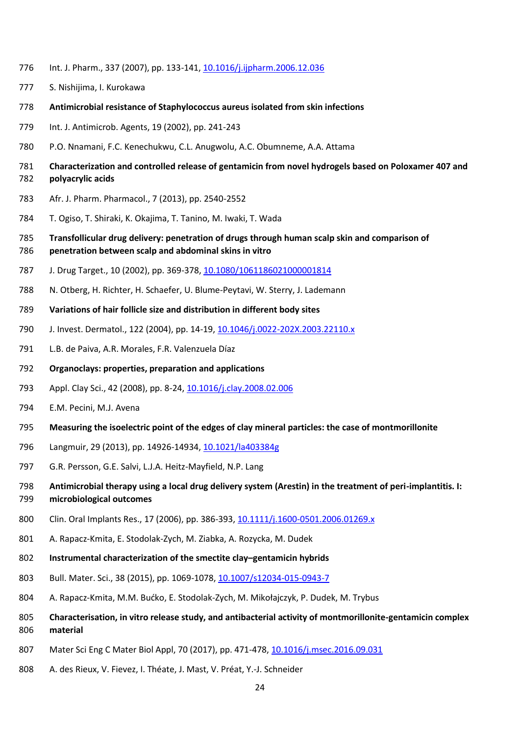- Int. J. Pharm., 337 (2007), pp. 133-141[, 10.1016/j.ijpharm.2006.12.036](https://doi.org/10.1016/j.ijpharm.2006.12.036)
- S. Nishijima, I. Kurokawa
- **Antimicrobial resistance of Staphylococcus aureus isolated from skin infections**
- Int. J. Antimicrob. Agents, 19 (2002), pp. 241-243
- P.O. Nnamani, F.C. Kenechukwu, C.L. Anugwolu, A.C. Obumneme, A.A. Attama
- **Characterization and controlled release of gentamicin from novel hydrogels based on Poloxamer 407 and polyacrylic acids**
- Afr. J. Pharm. Pharmacol., 7 (2013), pp. 2540-2552
- T. Ogiso, T. Shiraki, K. Okajima, T. Tanino, M. Iwaki, T. Wada
- **Transfollicular drug delivery: penetration of drugs through human scalp skin and comparison of penetration between scalp and abdominal skins in vitro**
- J. Drug Target., 10 (2002), pp. 369-378, [10.1080/1061186021000001814](https://doi.org/10.1080/1061186021000001814)
- N. Otberg, H. Richter, H. Schaefer, U. Blume-Peytavi, W. Sterry, J. Lademann
- **Variations of hair follicle size and distribution in different body sites**
- J. Invest. Dermatol., 122 (2004), pp. 14-19, [10.1046/j.0022-202X.2003.22110.x](https://doi.org/10.1046/j.0022-202X.2003.22110.x)
- L.B. de Paiva, A.R. Morales, F.R. Valenzuela Díaz
- **Organoclays: properties, preparation and applications**
- Appl. Clay Sci., 42 (2008), pp. 8-24, [10.1016/j.clay.2008.02.006](https://doi.org/10.1016/j.clay.2008.02.006)
- E.M. Pecini, M.J. Avena
- **Measuring the isoelectric point of the edges of clay mineral particles: the case of montmorillonite**
- Langmuir, 29 (2013), pp. 14926-14934[, 10.1021/la403384g](https://doi.org/10.1021/la403384g)
- G.R. Persson, G.E. Salvi, L.J.A. Heitz-Mayfield, N.P. Lang
- **Antimicrobial therapy using a local drug delivery system (Arestin) in the treatment of peri-implantitis. I:**
- **microbiological outcomes**
- 800 Clin. Oral Implants Res., 17 (2006), pp. 386-393, [10.1111/j.1600-0501.2006.01269.x](https://doi.org/10.1111/j.1600-0501.2006.01269.x)
- A. Rapacz-Kmita, E. Stodolak-Zych, M. Ziabka, A. Rozycka, M. Dudek
- **Instrumental characterization of the smectite clay–gentamicin hybrids**
- 803 Bull. Mater. Sci., 38 (2015), pp. 1069-1078, [10.1007/s12034-015-0943-7](https://doi.org/10.1007/s12034-015-0943-7)
- A. Rapacz-Kmita, M.M. Bućko, E. Stodolak-Zych, M. Mikołajczyk, P. Dudek, M. Trybus
- **Characterisation, in vitro release study, and antibacterial activity of montmorillonite-gentamicin complex material**
- Mater Sci Eng C Mater Biol Appl, 70 (2017), pp. 471-478[, 10.1016/j.msec.2016.09.031](https://doi.org/10.1016/j.msec.2016.09.031)
- A. des Rieux, V. Fievez, I. Théate, J. Mast, V. Préat, Y.-J. Schneider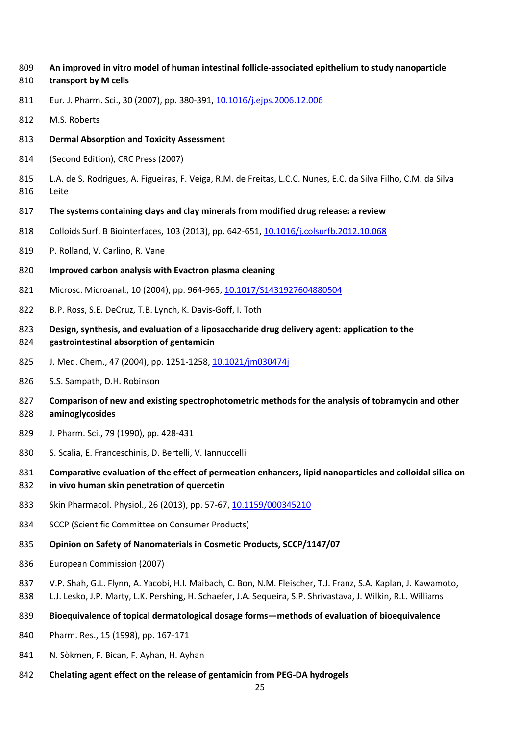- **An improved in vitro model of human intestinal follicle-associated epithelium to study nanoparticle**
- **transport by M cells**
- Eur. J. Pharm. Sci., 30 (2007), pp. 380-391, [10.1016/j.ejps.2006.12.006](https://doi.org/10.1016/j.ejps.2006.12.006)
- M.S. Roberts
- **Dermal Absorption and Toxicity Assessment**
- (Second Edition), CRC Press (2007)
- L.A. de S. Rodrigues, A. Figueiras, F. Veiga, R.M. de Freitas, L.C.C. Nunes, E.C. da Silva Filho, C.M. da Silva Leite
- **The systems containing clays and clay minerals from modified drug release: a review**
- Colloids Surf. B Biointerfaces, 103 (2013), pp. 642-651, [10.1016/j.colsurfb.2012.10.068](https://doi.org/10.1016/j.colsurfb.2012.10.068)
- P. Rolland, V. Carlino, R. Vane
- **Improved carbon analysis with Evactron plasma cleaning**
- Microsc. Microanal., 10 (2004), pp. 964-965, [10.1017/S1431927604880504](https://doi.org/10.1017/S1431927604880504)
- B.P. Ross, S.E. DeCruz, T.B. Lynch, K. Davis-Goff, I. Toth
- **Design, synthesis, and evaluation of a liposaccharide drug delivery agent: application to the gastrointestinal absorption of gentamicin**
- J. Med. Chem., 47 (2004), pp. 1251-1258, [10.1021/jm030474j](https://doi.org/10.1021/jm030474j)
- S.S. Sampath, D.H. Robinson
- **Comparison of new and existing spectrophotometric methods for the analysis of tobramycin and other aminoglycosides**
- J. Pharm. Sci., 79 (1990), pp. 428-431
- S. Scalia, E. Franceschinis, D. Bertelli, V. Iannuccelli
- **Comparative evaluation of the effect of permeation enhancers, lipid nanoparticles and colloidal silica on in vivo human skin penetration of quercetin**
- Skin Pharmacol. Physiol., 26 (2013), pp. 57-67[, 10.1159/000345210](https://doi.org/10.1159/000345210)
- SCCP (Scientific Committee on Consumer Products)
- **Opinion on Safety of Nanomaterials in Cosmetic Products, SCCP/1147/07**
- European Commission (2007)
- V.P. Shah, G.L. Flynn, A. Yacobi, H.I. Maibach, C. Bon, N.M. Fleischer, T.J. Franz, S.A. Kaplan, J. Kawamoto,
- L.J. Lesko, J.P. Marty, L.K. Pershing, H. Schaefer, J.A. Sequeira, S.P. Shrivastava, J. Wilkin, R.L. Williams
- **Bioequivalence of topical dermatological dosage forms—methods of evaluation of bioequivalence**
- Pharm. Res., 15 (1998), pp. 167-171
- N. Sòkmen, F. Bican, F. Ayhan, H. Ayhan
- **Chelating agent effect on the release of gentamicin from PEG-DA hydrogels**